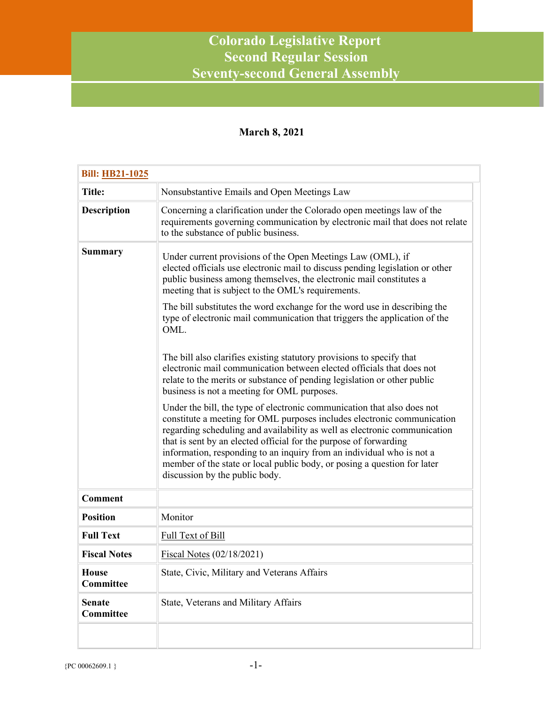## **Colorado Legislative Report Second Regular Session Seventy-second General Assembly**

## **March 8, 2021**

| <b>Bill: HB21-1025</b>     |                                                                                                                                                                                                                                                                                                                                                                                                                                                                                             |  |
|----------------------------|---------------------------------------------------------------------------------------------------------------------------------------------------------------------------------------------------------------------------------------------------------------------------------------------------------------------------------------------------------------------------------------------------------------------------------------------------------------------------------------------|--|
| <b>Title:</b>              | Nonsubstantive Emails and Open Meetings Law                                                                                                                                                                                                                                                                                                                                                                                                                                                 |  |
| <b>Description</b>         | Concerning a clarification under the Colorado open meetings law of the<br>requirements governing communication by electronic mail that does not relate<br>to the substance of public business.                                                                                                                                                                                                                                                                                              |  |
| <b>Summary</b>             | Under current provisions of the Open Meetings Law (OML), if<br>elected officials use electronic mail to discuss pending legislation or other<br>public business among themselves, the electronic mail constitutes a<br>meeting that is subject to the OML's requirements.<br>The bill substitutes the word exchange for the word use in describing the<br>type of electronic mail communication that triggers the application of the<br>OML.                                                |  |
|                            | The bill also clarifies existing statutory provisions to specify that<br>electronic mail communication between elected officials that does not<br>relate to the merits or substance of pending legislation or other public<br>business is not a meeting for OML purposes.                                                                                                                                                                                                                   |  |
|                            | Under the bill, the type of electronic communication that also does not<br>constitute a meeting for OML purposes includes electronic communication<br>regarding scheduling and availability as well as electronic communication<br>that is sent by an elected official for the purpose of forwarding<br>information, responding to an inquiry from an individual who is not a<br>member of the state or local public body, or posing a question for later<br>discussion by the public body. |  |
| <b>Comment</b>             |                                                                                                                                                                                                                                                                                                                                                                                                                                                                                             |  |
| <b>Position</b>            | Monitor                                                                                                                                                                                                                                                                                                                                                                                                                                                                                     |  |
| <b>Full Text</b>           | Full Text of Bill                                                                                                                                                                                                                                                                                                                                                                                                                                                                           |  |
| <b>Fiscal Notes</b>        | Fiscal Notes $(02/18/2021)$                                                                                                                                                                                                                                                                                                                                                                                                                                                                 |  |
| <b>House</b><br>Committee  | State, Civic, Military and Veterans Affairs                                                                                                                                                                                                                                                                                                                                                                                                                                                 |  |
| <b>Senate</b><br>Committee | State, Veterans and Military Affairs                                                                                                                                                                                                                                                                                                                                                                                                                                                        |  |
|                            |                                                                                                                                                                                                                                                                                                                                                                                                                                                                                             |  |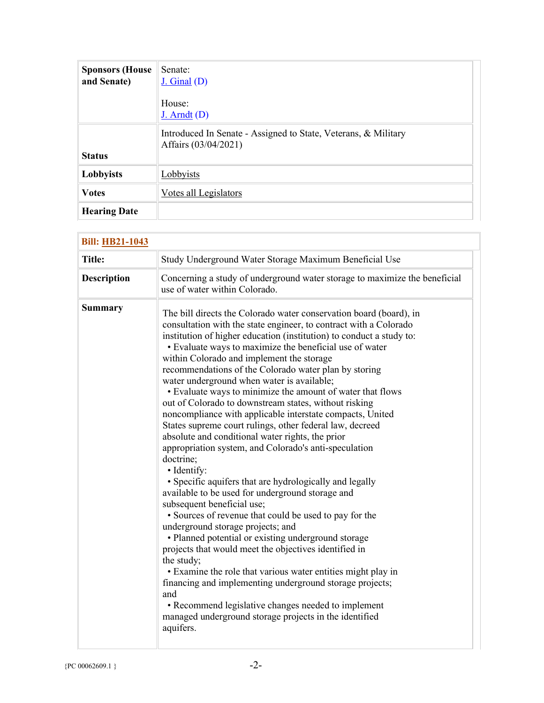| <b>Sponsors (House</b><br>and Senate) | Senate:<br>$J.$ Ginal $(D)$                                                            |
|---------------------------------------|----------------------------------------------------------------------------------------|
|                                       | House:<br>$J.$ Arndt $(D)$                                                             |
| <b>Status</b>                         | Introduced In Senate - Assigned to State, Veterans, & Military<br>Affairs (03/04/2021) |
| Lobbyists                             | Lobbyists                                                                              |
| <b>Votes</b>                          | Votes all Legislators                                                                  |
| <b>Hearing Date</b>                   |                                                                                        |

| <b>Title:</b>      | Study Underground Water Storage Maximum Beneficial Use                                                                                                                                                                                                                                                                                                                                                                                                                                                                                                                                                                                                                                                                                                                                                                                                                                                                                                                                                                                                                                                                                                                                                                                                                                                                                                                                                                                                             |
|--------------------|--------------------------------------------------------------------------------------------------------------------------------------------------------------------------------------------------------------------------------------------------------------------------------------------------------------------------------------------------------------------------------------------------------------------------------------------------------------------------------------------------------------------------------------------------------------------------------------------------------------------------------------------------------------------------------------------------------------------------------------------------------------------------------------------------------------------------------------------------------------------------------------------------------------------------------------------------------------------------------------------------------------------------------------------------------------------------------------------------------------------------------------------------------------------------------------------------------------------------------------------------------------------------------------------------------------------------------------------------------------------------------------------------------------------------------------------------------------------|
| <b>Description</b> | Concerning a study of underground water storage to maximize the beneficial<br>use of water within Colorado.                                                                                                                                                                                                                                                                                                                                                                                                                                                                                                                                                                                                                                                                                                                                                                                                                                                                                                                                                                                                                                                                                                                                                                                                                                                                                                                                                        |
| <b>Summary</b>     | The bill directs the Colorado water conservation board (board), in<br>consultation with the state engineer, to contract with a Colorado<br>institution of higher education (institution) to conduct a study to:<br>• Evaluate ways to maximize the beneficial use of water<br>within Colorado and implement the storage<br>recommendations of the Colorado water plan by storing<br>water underground when water is available;<br>• Evaluate ways to minimize the amount of water that flows<br>out of Colorado to downstream states, without risking<br>noncompliance with applicable interstate compacts, United<br>States supreme court rulings, other federal law, decreed<br>absolute and conditional water rights, the prior<br>appropriation system, and Colorado's anti-speculation<br>doctrine;<br>· Identify:<br>• Specific aquifers that are hydrologically and legally<br>available to be used for underground storage and<br>subsequent beneficial use;<br>· Sources of revenue that could be used to pay for the<br>underground storage projects; and<br>• Planned potential or existing underground storage<br>projects that would meet the objectives identified in<br>the study;<br>• Examine the role that various water entities might play in<br>financing and implementing underground storage projects;<br>and<br>• Recommend legislative changes needed to implement<br>managed underground storage projects in the identified<br>aquifers. |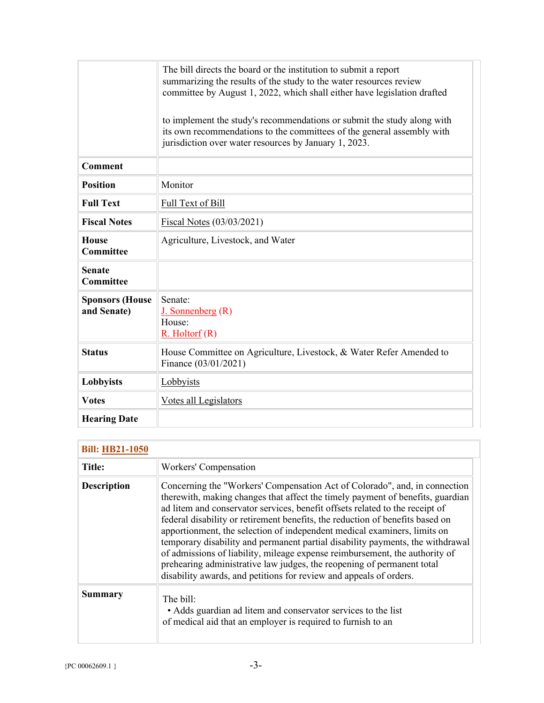|                                       | The bill directs the board or the institution to submit a report<br>summarizing the results of the study to the water resources review<br>committee by August 1, 2022, which shall either have legislation drafted<br>to implement the study's recommendations or submit the study along with<br>its own recommendations to the committees of the general assembly with<br>jurisdiction over water resources by January 1, 2023. |  |
|---------------------------------------|----------------------------------------------------------------------------------------------------------------------------------------------------------------------------------------------------------------------------------------------------------------------------------------------------------------------------------------------------------------------------------------------------------------------------------|--|
| <b>Comment</b>                        |                                                                                                                                                                                                                                                                                                                                                                                                                                  |  |
| <b>Position</b>                       | Monitor                                                                                                                                                                                                                                                                                                                                                                                                                          |  |
| <b>Full Text</b>                      | Full Text of Bill                                                                                                                                                                                                                                                                                                                                                                                                                |  |
| <b>Fiscal Notes</b>                   | Fiscal Notes (03/03/2021)                                                                                                                                                                                                                                                                                                                                                                                                        |  |
| <b>House</b><br><b>Committee</b>      | Agriculture, Livestock, and Water                                                                                                                                                                                                                                                                                                                                                                                                |  |
| <b>Senate</b><br><b>Committee</b>     |                                                                                                                                                                                                                                                                                                                                                                                                                                  |  |
| <b>Sponsors (House</b><br>and Senate) | Senate:<br>$J.$ Sonnenberg $(R)$<br>House:<br>$R.$ Holtorf $(R)$                                                                                                                                                                                                                                                                                                                                                                 |  |
| <b>Status</b>                         | House Committee on Agriculture, Livestock, & Water Refer Amended to<br>Finance (03/01/2021)                                                                                                                                                                                                                                                                                                                                      |  |
| Lobbyists                             | Lobbyists                                                                                                                                                                                                                                                                                                                                                                                                                        |  |
| <b>Votes</b>                          | Votes all Legislators                                                                                                                                                                                                                                                                                                                                                                                                            |  |
| <b>Hearing Date</b>                   |                                                                                                                                                                                                                                                                                                                                                                                                                                  |  |

| <b>Bill: HB21-1050</b> |                                                                                                                                                                                                                                                                                                                                                                                                                                                                                                                                                                                                                                                                                                                            |  |
|------------------------|----------------------------------------------------------------------------------------------------------------------------------------------------------------------------------------------------------------------------------------------------------------------------------------------------------------------------------------------------------------------------------------------------------------------------------------------------------------------------------------------------------------------------------------------------------------------------------------------------------------------------------------------------------------------------------------------------------------------------|--|
| Title:                 | Workers' Compensation                                                                                                                                                                                                                                                                                                                                                                                                                                                                                                                                                                                                                                                                                                      |  |
| <b>Description</b>     | Concerning the "Workers' Compensation Act of Colorado", and, in connection<br>therewith, making changes that affect the timely payment of benefits, guardian<br>ad litem and conservator services, benefit offsets related to the receipt of<br>federal disability or retirement benefits, the reduction of benefits based on<br>apportionment, the selection of independent medical examiners, limits on<br>temporary disability and permanent partial disability payments, the withdrawal<br>of admissions of liability, mileage expense reimbursement, the authority of<br>prehearing administrative law judges, the reopening of permanent total<br>disability awards, and petitions for review and appeals of orders. |  |
| <b>Summary</b>         | The bill:<br>• Adds guardian ad litem and conservator services to the list<br>of medical aid that an employer is required to furnish to an                                                                                                                                                                                                                                                                                                                                                                                                                                                                                                                                                                                 |  |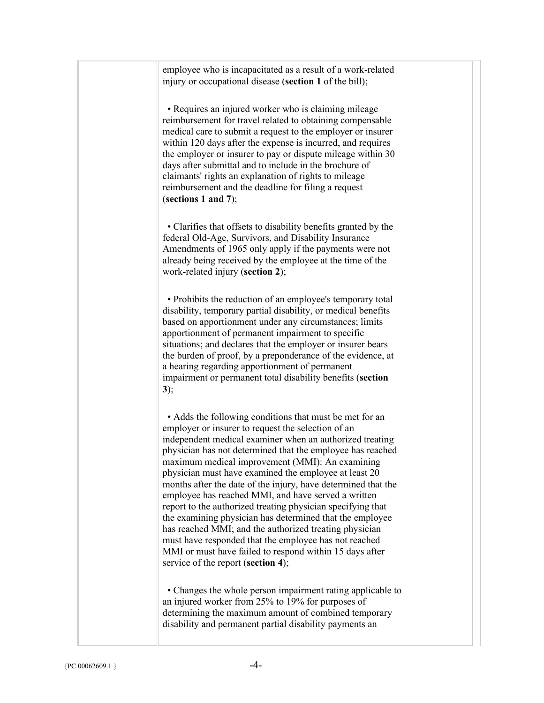| employee who is incapacitated as a result of a work-related<br>injury or occupational disease (section 1 of the bill);                                                                                                                                                                                                                                                                                                                                                                                                                                                                                                                                                                                                                                                                                                     |
|----------------------------------------------------------------------------------------------------------------------------------------------------------------------------------------------------------------------------------------------------------------------------------------------------------------------------------------------------------------------------------------------------------------------------------------------------------------------------------------------------------------------------------------------------------------------------------------------------------------------------------------------------------------------------------------------------------------------------------------------------------------------------------------------------------------------------|
| • Requires an injured worker who is claiming mileage<br>reimbursement for travel related to obtaining compensable<br>medical care to submit a request to the employer or insurer<br>within 120 days after the expense is incurred, and requires<br>the employer or insurer to pay or dispute mileage within 30<br>days after submittal and to include in the brochure of<br>claimants' rights an explanation of rights to mileage<br>reimbursement and the deadline for filing a request<br>(sections 1 and 7);                                                                                                                                                                                                                                                                                                            |
| • Clarifies that offsets to disability benefits granted by the<br>federal Old-Age, Survivors, and Disability Insurance<br>Amendments of 1965 only apply if the payments were not<br>already being received by the employee at the time of the<br>work-related injury (section 2);                                                                                                                                                                                                                                                                                                                                                                                                                                                                                                                                          |
| • Prohibits the reduction of an employee's temporary total<br>disability, temporary partial disability, or medical benefits<br>based on apportionment under any circumstances; limits<br>apportionment of permanent impairment to specific<br>situations; and declares that the employer or insurer bears<br>the burden of proof, by a preponderance of the evidence, at<br>a hearing regarding apportionment of permanent<br>impairment or permanent total disability benefits (section<br>3);                                                                                                                                                                                                                                                                                                                            |
| • Adds the following conditions that must be met for an<br>employer or insurer to request the selection of an<br>independent medical examiner when an authorized treating<br>physician has not determined that the employee has reached<br>maximum medical improvement (MMI): An examining<br>physician must have examined the employee at least 20<br>months after the date of the injury, have determined that the<br>employee has reached MMI, and have served a written<br>report to the authorized treating physician specifying that<br>the examining physician has determined that the employee<br>has reached MMI; and the authorized treating physician<br>must have responded that the employee has not reached<br>MMI or must have failed to respond within 15 days after<br>service of the report (section 4); |
| • Changes the whole person impairment rating applicable to<br>an injured worker from 25% to 19% for purposes of<br>determining the maximum amount of combined temporary                                                                                                                                                                                                                                                                                                                                                                                                                                                                                                                                                                                                                                                    |

disability and permanent partial disability payments an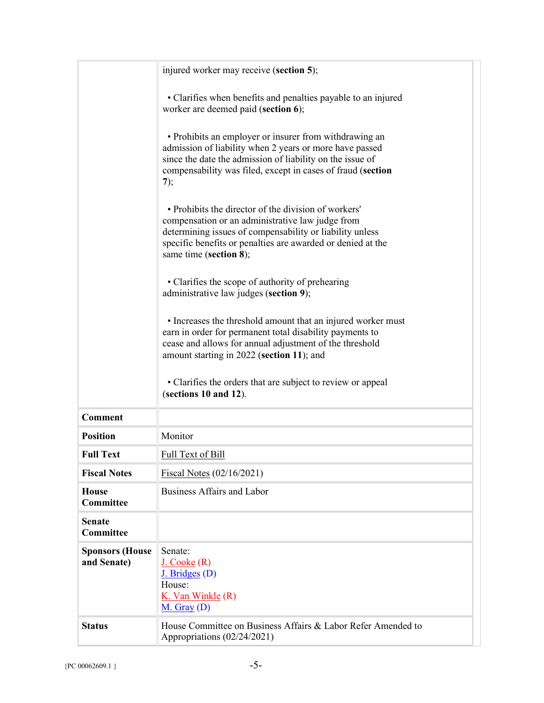|                                       | injured worker may receive (section 5);                                                                                                                                                                                                                       |
|---------------------------------------|---------------------------------------------------------------------------------------------------------------------------------------------------------------------------------------------------------------------------------------------------------------|
|                                       | • Clarifies when benefits and penalties payable to an injured<br>worker are deemed paid (section 6);                                                                                                                                                          |
|                                       | • Prohibits an employer or insurer from withdrawing an<br>admission of liability when 2 years or more have passed<br>since the date the admission of liability on the issue of<br>compensability was filed, except in cases of fraud (section<br>7);          |
|                                       | • Prohibits the director of the division of workers'<br>compensation or an administrative law judge from<br>determining issues of compensability or liability unless<br>specific benefits or penalties are awarded or denied at the<br>same time (section 8); |
|                                       | • Clarifies the scope of authority of prehearing<br>administrative law judges (section 9);                                                                                                                                                                    |
|                                       | • Increases the threshold amount that an injured worker must<br>earn in order for permanent total disability payments to<br>cease and allows for annual adjustment of the threshold<br>amount starting in 2022 (section 11); and                              |
|                                       | • Clarifies the orders that are subject to review or appeal<br>(sections 10 and 12).                                                                                                                                                                          |
| <b>Comment</b>                        |                                                                                                                                                                                                                                                               |
| <b>Position</b>                       | Monitor                                                                                                                                                                                                                                                       |
| <b>Full Text</b>                      | <b>Full Text of Bill</b>                                                                                                                                                                                                                                      |
| <b>Fiscal Notes</b>                   | Fiscal Notes (02/16/2021)                                                                                                                                                                                                                                     |
| <b>House</b><br><b>Committee</b>      | <b>Business Affairs and Labor</b>                                                                                                                                                                                                                             |
| Senate<br><b>Committee</b>            |                                                                                                                                                                                                                                                               |
| <b>Sponsors (House</b><br>and Senate) | Senate:<br>J. Cooke(R)<br>$J.$ Bridges $(D)$<br>House:<br>K. Van Winkle $(R)$<br>$M.$ Gray $(D)$                                                                                                                                                              |
| <b>Status</b>                         | House Committee on Business Affairs & Labor Refer Amended to<br>Appropriations (02/24/2021)                                                                                                                                                                   |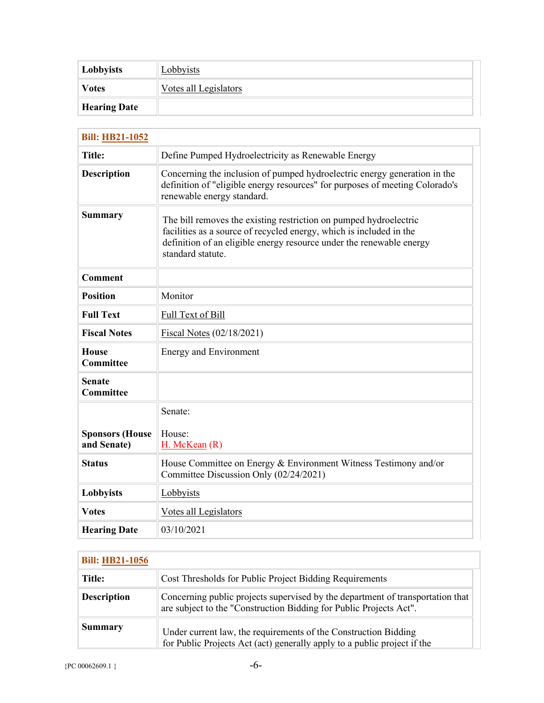| <b>Lobbyists</b>    | Lobbyists             |  |
|---------------------|-----------------------|--|
| <b>Votes</b>        | Votes all Legislators |  |
| <b>Hearing Date</b> |                       |  |

| <b>Bill: HB21-1052</b>                |                                                                                                                                                                                                                                       |  |
|---------------------------------------|---------------------------------------------------------------------------------------------------------------------------------------------------------------------------------------------------------------------------------------|--|
| <b>Title:</b>                         | Define Pumped Hydroelectricity as Renewable Energy                                                                                                                                                                                    |  |
| <b>Description</b>                    | Concerning the inclusion of pumped hydroelectric energy generation in the<br>definition of "eligible energy resources" for purposes of meeting Colorado's<br>renewable energy standard.                                               |  |
| <b>Summary</b>                        | The bill removes the existing restriction on pumped hydroelectric<br>facilities as a source of recycled energy, which is included in the<br>definition of an eligible energy resource under the renewable energy<br>standard statute. |  |
| <b>Comment</b>                        |                                                                                                                                                                                                                                       |  |
| <b>Position</b>                       | Monitor                                                                                                                                                                                                                               |  |
| <b>Full Text</b>                      | Full Text of Bill                                                                                                                                                                                                                     |  |
| <b>Fiscal Notes</b>                   | Fiscal Notes $(02/18/2021)$                                                                                                                                                                                                           |  |
| <b>House</b><br><b>Committee</b>      | <b>Energy and Environment</b>                                                                                                                                                                                                         |  |
| <b>Senate</b><br><b>Committee</b>     |                                                                                                                                                                                                                                       |  |
|                                       | Senate:                                                                                                                                                                                                                               |  |
| <b>Sponsors (House</b><br>and Senate) | House:<br>H. McKean (R)                                                                                                                                                                                                               |  |
| <b>Status</b>                         | House Committee on Energy & Environment Witness Testimony and/or<br>Committee Discussion Only (02/24/2021)                                                                                                                            |  |
| Lobbyists                             | Lobbyists                                                                                                                                                                                                                             |  |
| <b>Votes</b>                          | Votes all Legislators                                                                                                                                                                                                                 |  |
| <b>Hearing Date</b>                   | 03/10/2021                                                                                                                                                                                                                            |  |

| <b>Bill: HB21-1056</b> |                                                                                                                                                      |
|------------------------|------------------------------------------------------------------------------------------------------------------------------------------------------|
| <b>Title:</b>          | Cost Thresholds for Public Project Bidding Requirements                                                                                              |
| <b>Description</b>     | Concerning public projects supervised by the department of transportation that<br>are subject to the "Construction Bidding for Public Projects Act". |
| <b>Summary</b>         | Under current law, the requirements of the Construction Bidding<br>for Public Projects Act (act) generally apply to a public project if the          |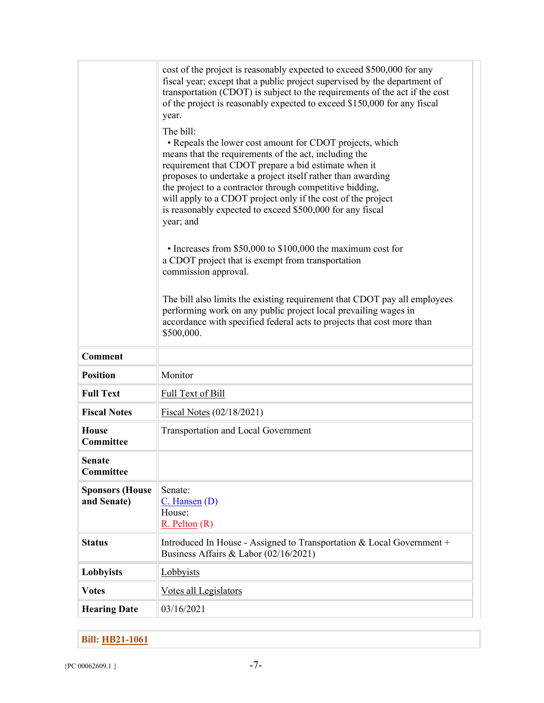|                                       | cost of the project is reasonably expected to exceed \$500,000 for any<br>fiscal year; except that a public project supervised by the department of<br>transportation (CDOT) is subject to the requirements of the act if the cost<br>of the project is reasonably expected to exceed \$150,000 for any fiscal<br>year.<br>The bill:<br>• Repeals the lower cost amount for CDOT projects, which<br>means that the requirements of the act, including the<br>requirement that CDOT prepare a bid estimate when it<br>proposes to undertake a project itself rather than awarding<br>the project to a contractor through competitive bidding,<br>will apply to a CDOT project only if the cost of the project<br>is reasonably expected to exceed \$500,000 for any fiscal<br>year; and<br>• Increases from \$50,000 to \$100,000 the maximum cost for<br>a CDOT project that is exempt from transportation<br>commission approval.<br>The bill also limits the existing requirement that CDOT pay all employees<br>performing work on any public project local prevailing wages in<br>accordance with specified federal acts to projects that cost more than<br>\$500,000. |  |
|---------------------------------------|----------------------------------------------------------------------------------------------------------------------------------------------------------------------------------------------------------------------------------------------------------------------------------------------------------------------------------------------------------------------------------------------------------------------------------------------------------------------------------------------------------------------------------------------------------------------------------------------------------------------------------------------------------------------------------------------------------------------------------------------------------------------------------------------------------------------------------------------------------------------------------------------------------------------------------------------------------------------------------------------------------------------------------------------------------------------------------------------------------------------------------------------------------------------------|--|
| <b>Comment</b>                        |                                                                                                                                                                                                                                                                                                                                                                                                                                                                                                                                                                                                                                                                                                                                                                                                                                                                                                                                                                                                                                                                                                                                                                            |  |
| <b>Position</b>                       | Monitor                                                                                                                                                                                                                                                                                                                                                                                                                                                                                                                                                                                                                                                                                                                                                                                                                                                                                                                                                                                                                                                                                                                                                                    |  |
| <b>Full Text</b>                      | Full Text of Bill                                                                                                                                                                                                                                                                                                                                                                                                                                                                                                                                                                                                                                                                                                                                                                                                                                                                                                                                                                                                                                                                                                                                                          |  |
| <b>Fiscal Notes</b>                   | Fiscal Notes $(02/18/2021)$                                                                                                                                                                                                                                                                                                                                                                                                                                                                                                                                                                                                                                                                                                                                                                                                                                                                                                                                                                                                                                                                                                                                                |  |
| <b>House</b><br>Committee             | <b>Transportation and Local Government</b>                                                                                                                                                                                                                                                                                                                                                                                                                                                                                                                                                                                                                                                                                                                                                                                                                                                                                                                                                                                                                                                                                                                                 |  |
| <b>Senate</b><br>Committee            |                                                                                                                                                                                                                                                                                                                                                                                                                                                                                                                                                                                                                                                                                                                                                                                                                                                                                                                                                                                                                                                                                                                                                                            |  |
| <b>Sponsors (House</b><br>and Senate) | Senate:<br>$C.$ Hansen $(D)$<br>House:<br>$R.$ Pelton $(R)$                                                                                                                                                                                                                                                                                                                                                                                                                                                                                                                                                                                                                                                                                                                                                                                                                                                                                                                                                                                                                                                                                                                |  |
| <b>Status</b>                         | Introduced In House - Assigned to Transportation $& Local Government +$<br>Business Affairs & Labor (02/16/2021)                                                                                                                                                                                                                                                                                                                                                                                                                                                                                                                                                                                                                                                                                                                                                                                                                                                                                                                                                                                                                                                           |  |
| Lobbyists                             | Lobbyists                                                                                                                                                                                                                                                                                                                                                                                                                                                                                                                                                                                                                                                                                                                                                                                                                                                                                                                                                                                                                                                                                                                                                                  |  |
| <b>Votes</b>                          | Votes all Legislators                                                                                                                                                                                                                                                                                                                                                                                                                                                                                                                                                                                                                                                                                                                                                                                                                                                                                                                                                                                                                                                                                                                                                      |  |
| <b>Hearing Date</b>                   | 03/16/2021                                                                                                                                                                                                                                                                                                                                                                                                                                                                                                                                                                                                                                                                                                                                                                                                                                                                                                                                                                                                                                                                                                                                                                 |  |

| <b>Bill: HB21-1061</b> |
|------------------------|
|                        |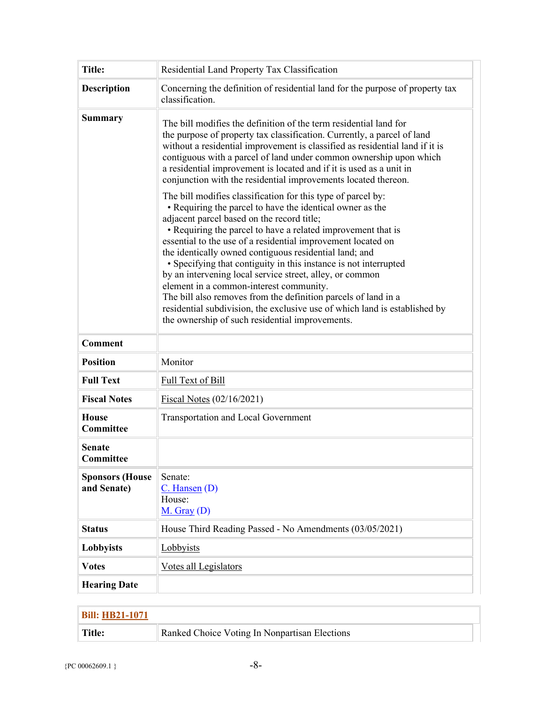| <b>Title:</b>                         | Residential Land Property Tax Classification                                                                                                                                                                                                                                                                                                                                                                                                                                                                                                                                                                                                                                    |
|---------------------------------------|---------------------------------------------------------------------------------------------------------------------------------------------------------------------------------------------------------------------------------------------------------------------------------------------------------------------------------------------------------------------------------------------------------------------------------------------------------------------------------------------------------------------------------------------------------------------------------------------------------------------------------------------------------------------------------|
| <b>Description</b>                    | Concerning the definition of residential land for the purpose of property tax<br>classification.                                                                                                                                                                                                                                                                                                                                                                                                                                                                                                                                                                                |
| <b>Summary</b>                        | The bill modifies the definition of the term residential land for<br>the purpose of property tax classification. Currently, a parcel of land<br>without a residential improvement is classified as residential land if it is<br>contiguous with a parcel of land under common ownership upon which<br>a residential improvement is located and if it is used as a unit in<br>conjunction with the residential improvements located thereon.<br>The bill modifies classification for this type of parcel by:                                                                                                                                                                     |
|                                       | • Requiring the parcel to have the identical owner as the<br>adjacent parcel based on the record title;<br>• Requiring the parcel to have a related improvement that is<br>essential to the use of a residential improvement located on<br>the identically owned contiguous residential land; and<br>• Specifying that contiguity in this instance is not interrupted<br>by an intervening local service street, alley, or common<br>element in a common-interest community.<br>The bill also removes from the definition parcels of land in a<br>residential subdivision, the exclusive use of which land is established by<br>the ownership of such residential improvements. |
| <b>Comment</b>                        |                                                                                                                                                                                                                                                                                                                                                                                                                                                                                                                                                                                                                                                                                 |
| <b>Position</b>                       | Monitor                                                                                                                                                                                                                                                                                                                                                                                                                                                                                                                                                                                                                                                                         |
| <b>Full Text</b>                      | Full Text of Bill                                                                                                                                                                                                                                                                                                                                                                                                                                                                                                                                                                                                                                                               |
| <b>Fiscal Notes</b>                   | Fiscal Notes $(02/16/2021)$                                                                                                                                                                                                                                                                                                                                                                                                                                                                                                                                                                                                                                                     |
| <b>House</b><br><b>Committee</b>      | <b>Transportation and Local Government</b>                                                                                                                                                                                                                                                                                                                                                                                                                                                                                                                                                                                                                                      |
| <b>Senate</b><br>Committee            |                                                                                                                                                                                                                                                                                                                                                                                                                                                                                                                                                                                                                                                                                 |
| <b>Sponsors (House</b><br>and Senate) | Senate:<br>C. Hansen (D)<br>House:<br>$M.$ Gray (D)                                                                                                                                                                                                                                                                                                                                                                                                                                                                                                                                                                                                                             |
| <b>Status</b>                         | House Third Reading Passed - No Amendments (03/05/2021)                                                                                                                                                                                                                                                                                                                                                                                                                                                                                                                                                                                                                         |
| Lobbyists                             | Lobbyists                                                                                                                                                                                                                                                                                                                                                                                                                                                                                                                                                                                                                                                                       |
| <b>Votes</b>                          | Votes all Legislators                                                                                                                                                                                                                                                                                                                                                                                                                                                                                                                                                                                                                                                           |
| <b>Hearing Date</b>                   |                                                                                                                                                                                                                                                                                                                                                                                                                                                                                                                                                                                                                                                                                 |

| Bill: HB21-1071 |                                               |
|-----------------|-----------------------------------------------|
| Title:          | Ranked Choice Voting In Nonpartisan Elections |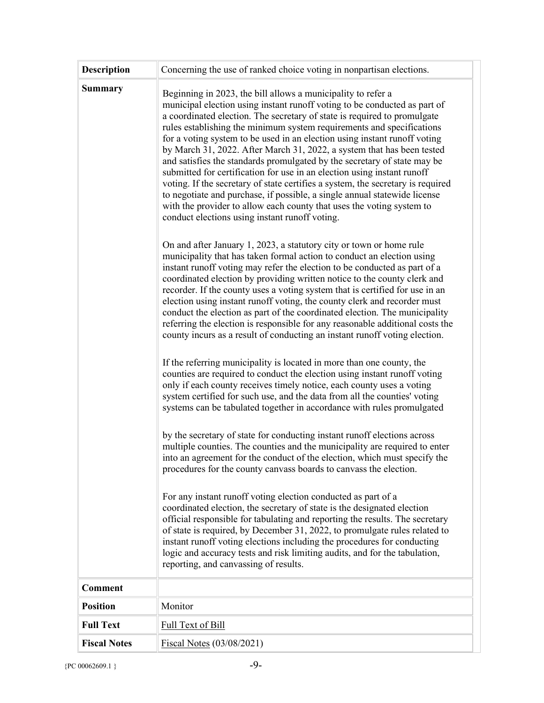| <b>Description</b>  | Concerning the use of ranked choice voting in nonpartisan elections.                                                                                                                                                                                                                                                                                                                                                                                                                                                                                                                                                                                                                                                                                                                                                                                                                                    |
|---------------------|---------------------------------------------------------------------------------------------------------------------------------------------------------------------------------------------------------------------------------------------------------------------------------------------------------------------------------------------------------------------------------------------------------------------------------------------------------------------------------------------------------------------------------------------------------------------------------------------------------------------------------------------------------------------------------------------------------------------------------------------------------------------------------------------------------------------------------------------------------------------------------------------------------|
| <b>Summary</b>      | Beginning in 2023, the bill allows a municipality to refer a<br>municipal election using instant runoff voting to be conducted as part of<br>a coordinated election. The secretary of state is required to promulgate<br>rules establishing the minimum system requirements and specifications<br>for a voting system to be used in an election using instant runoff voting<br>by March 31, 2022. After March 31, 2022, a system that has been tested<br>and satisfies the standards promulgated by the secretary of state may be<br>submitted for certification for use in an election using instant runoff<br>voting. If the secretary of state certifies a system, the secretary is required<br>to negotiate and purchase, if possible, a single annual statewide license<br>with the provider to allow each county that uses the voting system to<br>conduct elections using instant runoff voting. |
|                     | On and after January 1, 2023, a statutory city or town or home rule<br>municipality that has taken formal action to conduct an election using<br>instant runoff voting may refer the election to be conducted as part of a<br>coordinated election by providing written notice to the county clerk and<br>recorder. If the county uses a voting system that is certified for use in an<br>election using instant runoff voting, the county clerk and recorder must<br>conduct the election as part of the coordinated election. The municipality<br>referring the election is responsible for any reasonable additional costs the<br>county incurs as a result of conducting an instant runoff voting election.                                                                                                                                                                                         |
|                     | If the referring municipality is located in more than one county, the<br>counties are required to conduct the election using instant runoff voting<br>only if each county receives timely notice, each county uses a voting<br>system certified for such use, and the data from all the counties' voting<br>systems can be tabulated together in accordance with rules promulgated                                                                                                                                                                                                                                                                                                                                                                                                                                                                                                                      |
|                     | by the secretary of state for conducting instant runoff elections across<br>multiple counties. The counties and the municipality are required to enter<br>into an agreement for the conduct of the election, which must specify the<br>procedures for the county canvass boards to canvass the election.                                                                                                                                                                                                                                                                                                                                                                                                                                                                                                                                                                                                |
|                     | For any instant runoff voting election conducted as part of a<br>coordinated election, the secretary of state is the designated election<br>official responsible for tabulating and reporting the results. The secretary<br>of state is required, by December 31, 2022, to promulgate rules related to<br>instant runoff voting elections including the procedures for conducting<br>logic and accuracy tests and risk limiting audits, and for the tabulation,<br>reporting, and canvassing of results.                                                                                                                                                                                                                                                                                                                                                                                                |
| <b>Comment</b>      |                                                                                                                                                                                                                                                                                                                                                                                                                                                                                                                                                                                                                                                                                                                                                                                                                                                                                                         |
| <b>Position</b>     | Monitor                                                                                                                                                                                                                                                                                                                                                                                                                                                                                                                                                                                                                                                                                                                                                                                                                                                                                                 |
| <b>Full Text</b>    | Full Text of Bill                                                                                                                                                                                                                                                                                                                                                                                                                                                                                                                                                                                                                                                                                                                                                                                                                                                                                       |
| <b>Fiscal Notes</b> | Fiscal Notes $(03/08/2021)$                                                                                                                                                                                                                                                                                                                                                                                                                                                                                                                                                                                                                                                                                                                                                                                                                                                                             |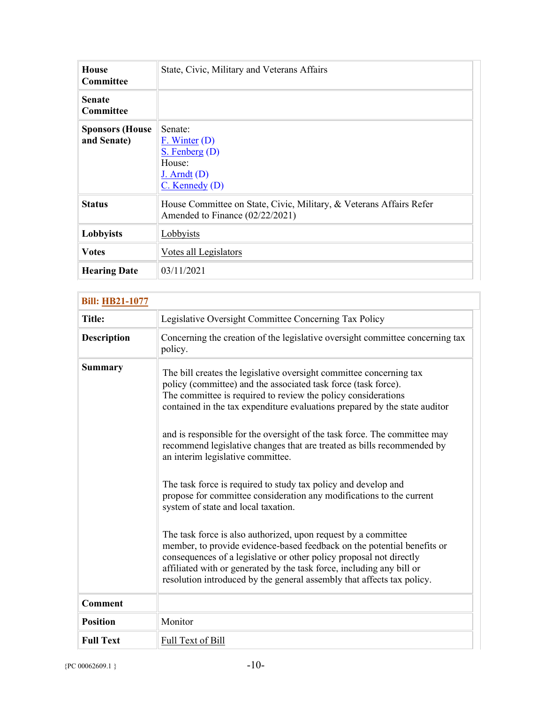| House<br><b>Committee</b>             | State, Civic, Military and Veterans Affairs                                                            |
|---------------------------------------|--------------------------------------------------------------------------------------------------------|
| <b>Senate</b><br>Committee            |                                                                                                        |
| <b>Sponsors (House</b><br>and Senate) | Senate:<br>$F.$ Winter $(D)$<br>$S.$ Fenberg $(D)$<br>House:<br>$J.$ Arndt $(D)$<br>$C.$ Kennedy $(D)$ |
| <b>Status</b>                         | House Committee on State, Civic, Military, & Veterans Affairs Refer<br>Amended to Finance (02/22/2021) |
| Lobbyists                             | Lobbyists                                                                                              |
| <b>Votes</b>                          | Votes all Legislators                                                                                  |
| <b>Hearing Date</b>                   | 03/11/2021                                                                                             |

| <b>Bill: HB21-1077</b> |                                                                                                                                                                                                                                                                                                                                                                                                                                                                                                                                                                                                                                                                                                                                                                                                                                                                                                                                                                                                                                          |
|------------------------|------------------------------------------------------------------------------------------------------------------------------------------------------------------------------------------------------------------------------------------------------------------------------------------------------------------------------------------------------------------------------------------------------------------------------------------------------------------------------------------------------------------------------------------------------------------------------------------------------------------------------------------------------------------------------------------------------------------------------------------------------------------------------------------------------------------------------------------------------------------------------------------------------------------------------------------------------------------------------------------------------------------------------------------|
| <b>Title:</b>          | Legislative Oversight Committee Concerning Tax Policy                                                                                                                                                                                                                                                                                                                                                                                                                                                                                                                                                                                                                                                                                                                                                                                                                                                                                                                                                                                    |
| <b>Description</b>     | Concerning the creation of the legislative oversight committee concerning tax<br>policy.                                                                                                                                                                                                                                                                                                                                                                                                                                                                                                                                                                                                                                                                                                                                                                                                                                                                                                                                                 |
| <b>Summary</b>         | The bill creates the legislative oversight committee concerning tax<br>policy (committee) and the associated task force (task force).<br>The committee is required to review the policy considerations<br>contained in the tax expenditure evaluations prepared by the state auditor<br>and is responsible for the oversight of the task force. The committee may<br>recommend legislative changes that are treated as bills recommended by<br>an interim legislative committee.<br>The task force is required to study tax policy and develop and<br>propose for committee consideration any modifications to the current<br>system of state and local taxation.<br>The task force is also authorized, upon request by a committee<br>member, to provide evidence-based feedback on the potential benefits or<br>consequences of a legislative or other policy proposal not directly<br>affiliated with or generated by the task force, including any bill or<br>resolution introduced by the general assembly that affects tax policy. |
| <b>Comment</b>         |                                                                                                                                                                                                                                                                                                                                                                                                                                                                                                                                                                                                                                                                                                                                                                                                                                                                                                                                                                                                                                          |
| <b>Position</b>        | Monitor                                                                                                                                                                                                                                                                                                                                                                                                                                                                                                                                                                                                                                                                                                                                                                                                                                                                                                                                                                                                                                  |
| <b>Full Text</b>       | Full Text of Bill                                                                                                                                                                                                                                                                                                                                                                                                                                                                                                                                                                                                                                                                                                                                                                                                                                                                                                                                                                                                                        |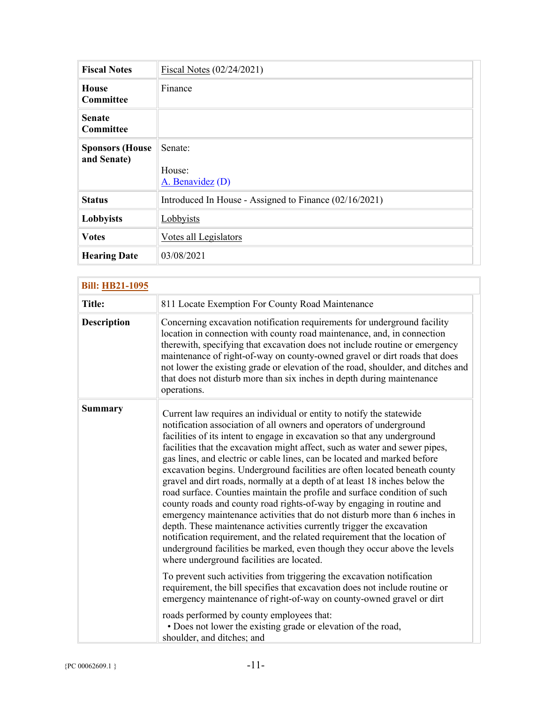| <b>Fiscal Notes</b>                   | Fiscal Notes $(02/24/2021)$                            |
|---------------------------------------|--------------------------------------------------------|
| <b>House</b><br>Committee             | Finance                                                |
| <b>Senate</b><br><b>Committee</b>     |                                                        |
| <b>Sponsors (House</b><br>and Senate) | Senate:<br>House:<br>A. Benavidez (D)                  |
| <b>Status</b>                         | Introduced In House - Assigned to Finance (02/16/2021) |
| Lobbyists                             | Lobbyists                                              |
| <b>Votes</b>                          | Votes all Legislators                                  |
| <b>Hearing Date</b>                   | 03/08/2021                                             |

|                    | <b>Bill: HB21-1095</b>                                                                                                                                                                                                                                                                                                                                                                                                                                                                                                                                                                                                                                                                                                                                                                                                                                                                                                                                                                                                                                                                                                                       |  |
|--------------------|----------------------------------------------------------------------------------------------------------------------------------------------------------------------------------------------------------------------------------------------------------------------------------------------------------------------------------------------------------------------------------------------------------------------------------------------------------------------------------------------------------------------------------------------------------------------------------------------------------------------------------------------------------------------------------------------------------------------------------------------------------------------------------------------------------------------------------------------------------------------------------------------------------------------------------------------------------------------------------------------------------------------------------------------------------------------------------------------------------------------------------------------|--|
| <b>Title:</b>      | 811 Locate Exemption For County Road Maintenance                                                                                                                                                                                                                                                                                                                                                                                                                                                                                                                                                                                                                                                                                                                                                                                                                                                                                                                                                                                                                                                                                             |  |
| <b>Description</b> | Concerning excavation notification requirements for underground facility<br>location in connection with county road maintenance, and, in connection<br>therewith, specifying that excavation does not include routine or emergency<br>maintenance of right-of-way on county-owned gravel or dirt roads that does<br>not lower the existing grade or elevation of the road, shoulder, and ditches and<br>that does not disturb more than six inches in depth during maintenance<br>operations.                                                                                                                                                                                                                                                                                                                                                                                                                                                                                                                                                                                                                                                |  |
| <b>Summary</b>     | Current law requires an individual or entity to notify the statewide<br>notification association of all owners and operators of underground<br>facilities of its intent to engage in excavation so that any underground<br>facilities that the excavation might affect, such as water and sewer pipes,<br>gas lines, and electric or cable lines, can be located and marked before<br>excavation begins. Underground facilities are often located beneath county<br>gravel and dirt roads, normally at a depth of at least 18 inches below the<br>road surface. Counties maintain the profile and surface condition of such<br>county roads and county road rights-of-way by engaging in routine and<br>emergency maintenance activities that do not disturb more than 6 inches in<br>depth. These maintenance activities currently trigger the excavation<br>notification requirement, and the related requirement that the location of<br>underground facilities be marked, even though they occur above the levels<br>where underground facilities are located.<br>To prevent such activities from triggering the excavation notification |  |
|                    | requirement, the bill specifies that excavation does not include routine or<br>emergency maintenance of right-of-way on county-owned gravel or dirt                                                                                                                                                                                                                                                                                                                                                                                                                                                                                                                                                                                                                                                                                                                                                                                                                                                                                                                                                                                          |  |
|                    | roads performed by county employees that:<br>· Does not lower the existing grade or elevation of the road,<br>shoulder, and ditches; and                                                                                                                                                                                                                                                                                                                                                                                                                                                                                                                                                                                                                                                                                                                                                                                                                                                                                                                                                                                                     |  |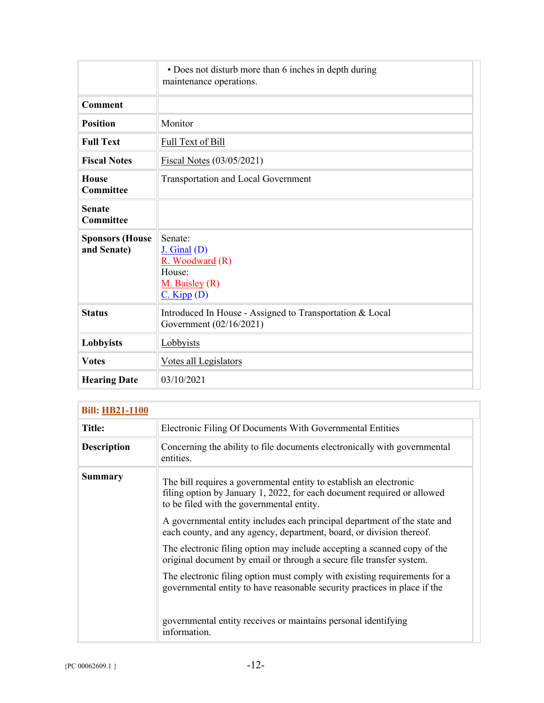|                                       | • Does not disturb more than 6 inches in depth during<br>maintenance operations.                  |
|---------------------------------------|---------------------------------------------------------------------------------------------------|
| <b>Comment</b>                        |                                                                                                   |
| <b>Position</b>                       | Monitor                                                                                           |
| <b>Full Text</b>                      | Full Text of Bill                                                                                 |
| <b>Fiscal Notes</b>                   | Fiscal Notes (03/05/2021)                                                                         |
| <b>House</b><br><b>Committee</b>      | <b>Transportation and Local Government</b>                                                        |
| Senate<br>Committee                   |                                                                                                   |
| <b>Sponsors (House</b><br>and Senate) | Senate:<br>$J.$ Ginal $(D)$<br>R. Woodward (R)<br>House:<br>$M.$ Baisley $(R)$<br>$C.$ Kipp $(D)$ |
| <b>Status</b>                         | Introduced In House - Assigned to Transportation & Local<br>Government (02/16/2021)               |
| Lobbyists                             | Lobbyists                                                                                         |
| <b>Votes</b>                          | Votes all Legislators                                                                             |
| <b>Hearing Date</b>                   | 03/10/2021                                                                                        |

| <b>Bill: HB21-1100</b> |                                                                                                                                                                                            |
|------------------------|--------------------------------------------------------------------------------------------------------------------------------------------------------------------------------------------|
| <b>Title:</b>          | Electronic Filing Of Documents With Governmental Entities                                                                                                                                  |
| <b>Description</b>     | Concerning the ability to file documents electronically with governmental<br>entities.                                                                                                     |
| <b>Summary</b>         | The bill requires a governmental entity to establish an electronic<br>filing option by January 1, 2022, for each document required or allowed<br>to be filed with the governmental entity. |
|                        | A governmental entity includes each principal department of the state and<br>each county, and any agency, department, board, or division thereof.                                          |
|                        | The electronic filing option may include accepting a scanned copy of the<br>original document by email or through a secure file transfer system.                                           |
|                        | The electronic filing option must comply with existing requirements for a<br>governmental entity to have reasonable security practices in place if the                                     |
|                        | governmental entity receives or maintains personal identifying<br>information.                                                                                                             |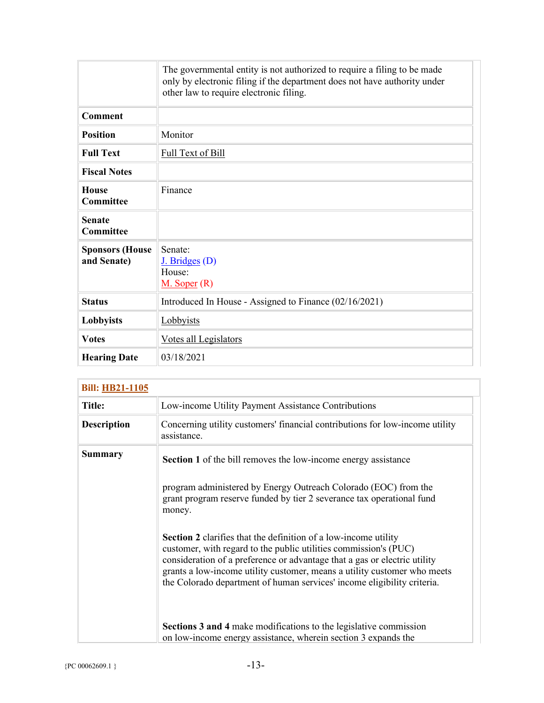|                                       | The governmental entity is not authorized to require a filing to be made<br>only by electronic filing if the department does not have authority under<br>other law to require electronic filing. |
|---------------------------------------|--------------------------------------------------------------------------------------------------------------------------------------------------------------------------------------------------|
| <b>Comment</b>                        |                                                                                                                                                                                                  |
| <b>Position</b>                       | Monitor                                                                                                                                                                                          |
| <b>Full Text</b>                      | Full Text of Bill                                                                                                                                                                                |
| <b>Fiscal Notes</b>                   |                                                                                                                                                                                                  |
| <b>House</b><br>Committee             | Finance                                                                                                                                                                                          |
| Senate<br>Committee                   |                                                                                                                                                                                                  |
| <b>Sponsors (House</b><br>and Senate) | Senate:<br>$J.$ Bridges $(D)$<br>House:<br>$M.$ Soper $(R)$                                                                                                                                      |
| <b>Status</b>                         | Introduced In House - Assigned to Finance (02/16/2021)                                                                                                                                           |
| Lobbyists                             | Lobbyists                                                                                                                                                                                        |
| <b>Votes</b>                          | Votes all Legislators                                                                                                                                                                            |
| <b>Hearing Date</b>                   | 03/18/2021                                                                                                                                                                                       |

| <b>Bill: HB21-1105</b> |                                                                                                                                                                                                                                                                                                                                                                         |
|------------------------|-------------------------------------------------------------------------------------------------------------------------------------------------------------------------------------------------------------------------------------------------------------------------------------------------------------------------------------------------------------------------|
| <b>Title:</b>          | Low-income Utility Payment Assistance Contributions                                                                                                                                                                                                                                                                                                                     |
| <b>Description</b>     | Concerning utility customers' financial contributions for low-income utility<br>assistance.                                                                                                                                                                                                                                                                             |
| <b>Summary</b>         | <b>Section 1</b> of the bill removes the low-income energy assistance                                                                                                                                                                                                                                                                                                   |
|                        | program administered by Energy Outreach Colorado (EOC) from the<br>grant program reserve funded by tier 2 severance tax operational fund<br>money.                                                                                                                                                                                                                      |
|                        | Section 2 clarifies that the definition of a low-income utility<br>customer, with regard to the public utilities commission's (PUC)<br>consideration of a preference or advantage that a gas or electric utility<br>grants a low-income utility customer, means a utility customer who meets<br>the Colorado department of human services' income eligibility criteria. |
|                        | <b>Sections 3 and 4 make modifications to the legislative commission</b><br>on low-income energy assistance, wherein section 3 expands the                                                                                                                                                                                                                              |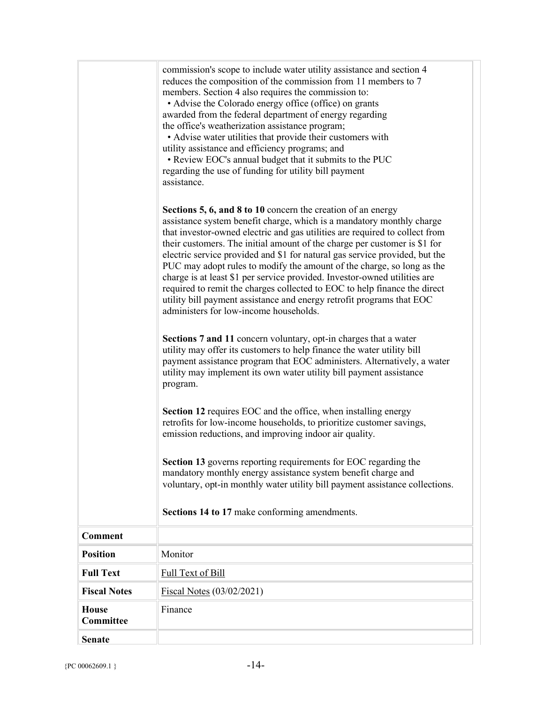|                           | commission's scope to include water utility assistance and section 4<br>reduces the composition of the commission from 11 members to 7<br>members. Section 4 also requires the commission to:<br>• Advise the Colorado energy office (office) on grants<br>awarded from the federal department of energy regarding<br>the office's weatherization assistance program;<br>• Advise water utilities that provide their customers with<br>utility assistance and efficiency programs; and<br>• Review EOC's annual budget that it submits to the PUC<br>regarding the use of funding for utility bill payment<br>assistance.                                                                                                               |
|---------------------------|-----------------------------------------------------------------------------------------------------------------------------------------------------------------------------------------------------------------------------------------------------------------------------------------------------------------------------------------------------------------------------------------------------------------------------------------------------------------------------------------------------------------------------------------------------------------------------------------------------------------------------------------------------------------------------------------------------------------------------------------|
|                           | Sections 5, 6, and 8 to 10 concern the creation of an energy<br>assistance system benefit charge, which is a mandatory monthly charge<br>that investor-owned electric and gas utilities are required to collect from<br>their customers. The initial amount of the charge per customer is \$1 for<br>electric service provided and \$1 for natural gas service provided, but the<br>PUC may adopt rules to modify the amount of the charge, so long as the<br>charge is at least \$1 per service provided. Investor-owned utilities are<br>required to remit the charges collected to EOC to help finance the direct<br>utility bill payment assistance and energy retrofit programs that EOC<br>administers for low-income households. |
|                           | Sections 7 and 11 concern voluntary, opt-in charges that a water<br>utility may offer its customers to help finance the water utility bill<br>payment assistance program that EOC administers. Alternatively, a water<br>utility may implement its own water utility bill payment assistance<br>program.                                                                                                                                                                                                                                                                                                                                                                                                                                |
|                           | Section 12 requires EOC and the office, when installing energy<br>retrofits for low-income households, to prioritize customer savings,<br>emission reductions, and improving indoor air quality.                                                                                                                                                                                                                                                                                                                                                                                                                                                                                                                                        |
|                           | Section 13 governs reporting requirements for EOC regarding the<br>mandatory monthly energy assistance system benefit charge and<br>voluntary, opt-in monthly water utility bill payment assistance collections.                                                                                                                                                                                                                                                                                                                                                                                                                                                                                                                        |
|                           | Sections 14 to 17 make conforming amendments.                                                                                                                                                                                                                                                                                                                                                                                                                                                                                                                                                                                                                                                                                           |
| <b>Comment</b>            |                                                                                                                                                                                                                                                                                                                                                                                                                                                                                                                                                                                                                                                                                                                                         |
| <b>Position</b>           | Monitor                                                                                                                                                                                                                                                                                                                                                                                                                                                                                                                                                                                                                                                                                                                                 |
| <b>Full Text</b>          | Full Text of Bill                                                                                                                                                                                                                                                                                                                                                                                                                                                                                                                                                                                                                                                                                                                       |
| <b>Fiscal Notes</b>       | Fiscal Notes (03/02/2021)                                                                                                                                                                                                                                                                                                                                                                                                                                                                                                                                                                                                                                                                                                               |
| <b>House</b><br>Committee | Finance                                                                                                                                                                                                                                                                                                                                                                                                                                                                                                                                                                                                                                                                                                                                 |
| <b>Senate</b>             |                                                                                                                                                                                                                                                                                                                                                                                                                                                                                                                                                                                                                                                                                                                                         |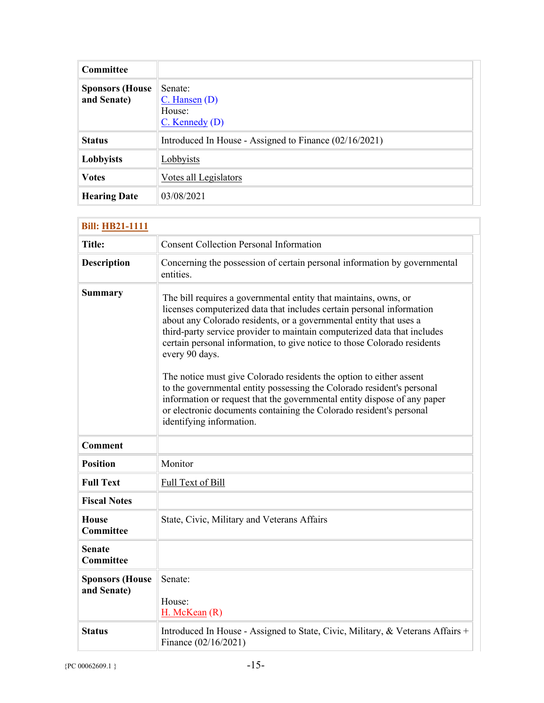| <b>Committee</b>                      |                                                              |
|---------------------------------------|--------------------------------------------------------------|
| <b>Sponsors (House</b><br>and Senate) | Senate:<br>$C.$ Hansen $(D)$<br>House:<br>$C.$ Kennedy $(D)$ |
| <b>Status</b>                         | Introduced In House - Assigned to Finance (02/16/2021)       |
| Lobbyists                             | Lobbyists                                                    |
| <b>Votes</b>                          | Votes all Legislators                                        |
| <b>Hearing Date</b>                   | 03/08/2021                                                   |

| <b>Bill: HB21-1111</b>                |                                                                                                                                                                                                                                                                                                                                                                                                                                                                                                                                                                                                                                                                                                                           |  |
|---------------------------------------|---------------------------------------------------------------------------------------------------------------------------------------------------------------------------------------------------------------------------------------------------------------------------------------------------------------------------------------------------------------------------------------------------------------------------------------------------------------------------------------------------------------------------------------------------------------------------------------------------------------------------------------------------------------------------------------------------------------------------|--|
| <b>Title:</b>                         | <b>Consent Collection Personal Information</b>                                                                                                                                                                                                                                                                                                                                                                                                                                                                                                                                                                                                                                                                            |  |
| <b>Description</b>                    | Concerning the possession of certain personal information by governmental<br>entities.                                                                                                                                                                                                                                                                                                                                                                                                                                                                                                                                                                                                                                    |  |
| <b>Summary</b>                        | The bill requires a governmental entity that maintains, owns, or<br>licenses computerized data that includes certain personal information<br>about any Colorado residents, or a governmental entity that uses a<br>third-party service provider to maintain computerized data that includes<br>certain personal information, to give notice to those Colorado residents<br>every 90 days.<br>The notice must give Colorado residents the option to either assent<br>to the governmental entity possessing the Colorado resident's personal<br>information or request that the governmental entity dispose of any paper<br>or electronic documents containing the Colorado resident's personal<br>identifying information. |  |
| <b>Comment</b>                        |                                                                                                                                                                                                                                                                                                                                                                                                                                                                                                                                                                                                                                                                                                                           |  |
| <b>Position</b>                       | Monitor                                                                                                                                                                                                                                                                                                                                                                                                                                                                                                                                                                                                                                                                                                                   |  |
| <b>Full Text</b>                      | Full Text of Bill                                                                                                                                                                                                                                                                                                                                                                                                                                                                                                                                                                                                                                                                                                         |  |
| <b>Fiscal Notes</b>                   |                                                                                                                                                                                                                                                                                                                                                                                                                                                                                                                                                                                                                                                                                                                           |  |
| <b>House</b><br><b>Committee</b>      | State, Civic, Military and Veterans Affairs                                                                                                                                                                                                                                                                                                                                                                                                                                                                                                                                                                                                                                                                               |  |
| <b>Senate</b><br><b>Committee</b>     |                                                                                                                                                                                                                                                                                                                                                                                                                                                                                                                                                                                                                                                                                                                           |  |
| <b>Sponsors (House</b><br>and Senate) | Senate:<br>House:<br>H. McKean (R)                                                                                                                                                                                                                                                                                                                                                                                                                                                                                                                                                                                                                                                                                        |  |
| <b>Status</b>                         | Introduced In House - Assigned to State, Civic, Military, & Veterans Affairs +<br>Finance (02/16/2021)                                                                                                                                                                                                                                                                                                                                                                                                                                                                                                                                                                                                                    |  |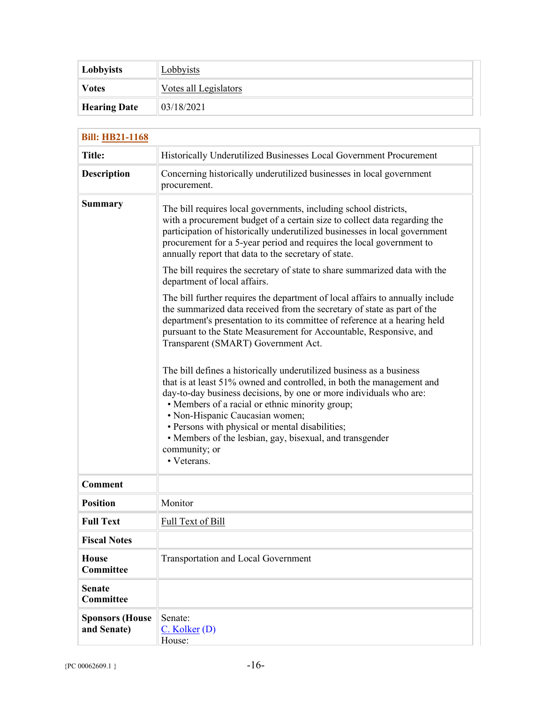| <b>Lobbyists</b>    | Lobbyists             |  |
|---------------------|-----------------------|--|
| <b>Votes</b>        | Votes all Legislators |  |
| <b>Hearing Date</b> | 03/18/2021            |  |

| <b>Bill: HB21-1168</b>                |                                                                                                                                                                                                                                                                                                                                                                                                                                                          |
|---------------------------------------|----------------------------------------------------------------------------------------------------------------------------------------------------------------------------------------------------------------------------------------------------------------------------------------------------------------------------------------------------------------------------------------------------------------------------------------------------------|
| <b>Title:</b>                         | Historically Underutilized Businesses Local Government Procurement                                                                                                                                                                                                                                                                                                                                                                                       |
| <b>Description</b>                    | Concerning historically underutilized businesses in local government<br>procurement.                                                                                                                                                                                                                                                                                                                                                                     |
| <b>Summary</b>                        | The bill requires local governments, including school districts,<br>with a procurement budget of a certain size to collect data regarding the<br>participation of historically underutilized businesses in local government<br>procurement for a 5-year period and requires the local government to<br>annually report that data to the secretary of state.                                                                                              |
|                                       | The bill requires the secretary of state to share summarized data with the<br>department of local affairs.                                                                                                                                                                                                                                                                                                                                               |
|                                       | The bill further requires the department of local affairs to annually include<br>the summarized data received from the secretary of state as part of the<br>department's presentation to its committee of reference at a hearing held<br>pursuant to the State Measurement for Accountable, Responsive, and<br>Transparent (SMART) Government Act.                                                                                                       |
|                                       | The bill defines a historically underutilized business as a business<br>that is at least 51% owned and controlled, in both the management and<br>day-to-day business decisions, by one or more individuals who are:<br>• Members of a racial or ethnic minority group;<br>• Non-Hispanic Caucasian women;<br>• Persons with physical or mental disabilities;<br>• Members of the lesbian, gay, bisexual, and transgender<br>community; or<br>• Veterans. |
| <b>Comment</b>                        |                                                                                                                                                                                                                                                                                                                                                                                                                                                          |
| <b>Position</b>                       | Monitor                                                                                                                                                                                                                                                                                                                                                                                                                                                  |
| <b>Full Text</b>                      | Full Text of Bill                                                                                                                                                                                                                                                                                                                                                                                                                                        |
| <b>Fiscal Notes</b>                   |                                                                                                                                                                                                                                                                                                                                                                                                                                                          |
| <b>House</b><br>Committee             | <b>Transportation and Local Government</b>                                                                                                                                                                                                                                                                                                                                                                                                               |
| <b>Senate</b><br><b>Committee</b>     |                                                                                                                                                                                                                                                                                                                                                                                                                                                          |
| <b>Sponsors (House</b><br>and Senate) | Senate:<br>$C.$ Kolker $(D)$<br>House:                                                                                                                                                                                                                                                                                                                                                                                                                   |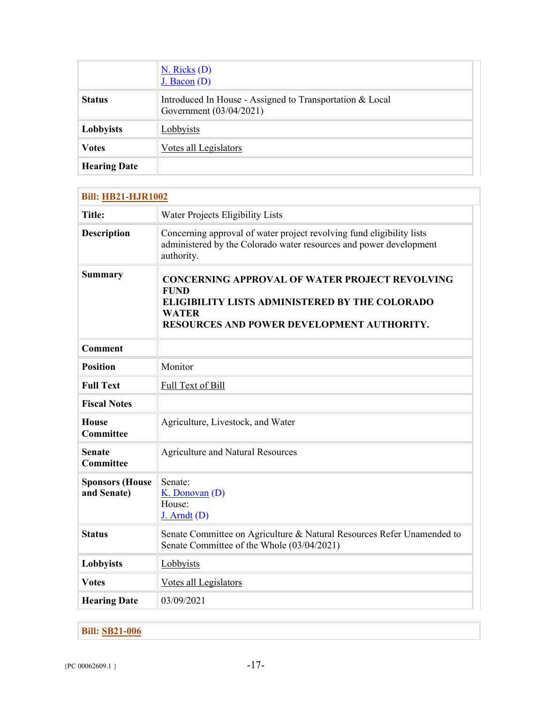|                     | $N.$ Ricks $(D)$<br>J. Bacon (D)                                                    |
|---------------------|-------------------------------------------------------------------------------------|
| <b>Status</b>       | Introduced In House - Assigned to Transportation & Local<br>Government (03/04/2021) |
| Lobbyists           | Lobbyists                                                                           |
| <b>Votes</b>        | Votes all Legislators                                                               |
| <b>Hearing Date</b> |                                                                                     |

|                                       | <b>Bill: HB21-HJR1002</b>                                                                                                                                                                          |  |
|---------------------------------------|----------------------------------------------------------------------------------------------------------------------------------------------------------------------------------------------------|--|
| <b>Title:</b>                         | Water Projects Eligibility Lists                                                                                                                                                                   |  |
| <b>Description</b>                    | Concerning approval of water project revolving fund eligibility lists<br>administered by the Colorado water resources and power development<br>authority.                                          |  |
| <b>Summary</b>                        | <b>CONCERNING APPROVAL OF WATER PROJECT REVOLVING</b><br><b>FUND</b><br><b>ELIGIBILITY LISTS ADMINISTERED BY THE COLORADO</b><br><b>WATER</b><br><b>RESOURCES AND POWER DEVELOPMENT AUTHORITY.</b> |  |
| <b>Comment</b>                        |                                                                                                                                                                                                    |  |
| <b>Position</b>                       | Monitor                                                                                                                                                                                            |  |
| <b>Full Text</b>                      | Full Text of Bill                                                                                                                                                                                  |  |
| <b>Fiscal Notes</b>                   |                                                                                                                                                                                                    |  |
| <b>House</b><br><b>Committee</b>      | Agriculture, Livestock, and Water                                                                                                                                                                  |  |
| <b>Senate</b><br><b>Committee</b>     | <b>Agriculture and Natural Resources</b>                                                                                                                                                           |  |
| <b>Sponsors (House</b><br>and Senate) | Senate:<br>K. Donovan (D)<br>House:<br>$J.$ Arndt $(D)$                                                                                                                                            |  |
| <b>Status</b>                         | Senate Committee on Agriculture & Natural Resources Refer Unamended to<br>Senate Committee of the Whole (03/04/2021)                                                                               |  |
| Lobbyists                             | Lobbyists                                                                                                                                                                                          |  |
| <b>Votes</b>                          | Votes all Legislators                                                                                                                                                                              |  |
| <b>Hearing Date</b>                   | 03/09/2021                                                                                                                                                                                         |  |

**Bill: [SB21-006](http://coloradocapitolwatch.com/bill/1/SB21-006/2021/0/)**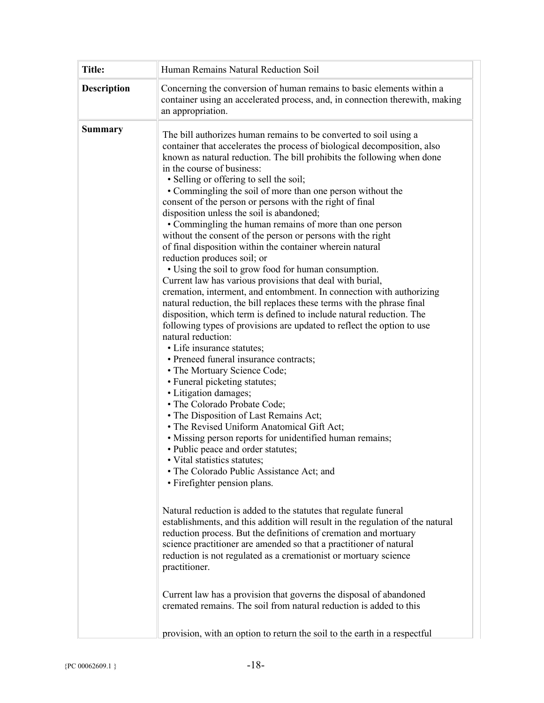| <b>Title:</b>      | Human Remains Natural Reduction Soil                                                                                                                                                                                                                                                                                                                                                                                                                                                                                                                                                                                                                                                                                                                                                                                                                                                                                                                                                                                                                                                                                                                                                                                                                                                                                                                                                                                                                                                                                                                                                                                                                                                                                                                                                                                                                                                                                                                                                                                                                                                                                                                                                                                                                                |
|--------------------|---------------------------------------------------------------------------------------------------------------------------------------------------------------------------------------------------------------------------------------------------------------------------------------------------------------------------------------------------------------------------------------------------------------------------------------------------------------------------------------------------------------------------------------------------------------------------------------------------------------------------------------------------------------------------------------------------------------------------------------------------------------------------------------------------------------------------------------------------------------------------------------------------------------------------------------------------------------------------------------------------------------------------------------------------------------------------------------------------------------------------------------------------------------------------------------------------------------------------------------------------------------------------------------------------------------------------------------------------------------------------------------------------------------------------------------------------------------------------------------------------------------------------------------------------------------------------------------------------------------------------------------------------------------------------------------------------------------------------------------------------------------------------------------------------------------------------------------------------------------------------------------------------------------------------------------------------------------------------------------------------------------------------------------------------------------------------------------------------------------------------------------------------------------------------------------------------------------------------------------------------------------------|
| <b>Description</b> | Concerning the conversion of human remains to basic elements within a<br>container using an accelerated process, and, in connection therewith, making<br>an appropriation.                                                                                                                                                                                                                                                                                                                                                                                                                                                                                                                                                                                                                                                                                                                                                                                                                                                                                                                                                                                                                                                                                                                                                                                                                                                                                                                                                                                                                                                                                                                                                                                                                                                                                                                                                                                                                                                                                                                                                                                                                                                                                          |
| <b>Summary</b>     | The bill authorizes human remains to be converted to soil using a<br>container that accelerates the process of biological decomposition, also<br>known as natural reduction. The bill prohibits the following when done<br>in the course of business:<br>· Selling or offering to sell the soil;<br>• Commingling the soil of more than one person without the<br>consent of the person or persons with the right of final<br>disposition unless the soil is abandoned;<br>• Commingling the human remains of more than one person<br>without the consent of the person or persons with the right<br>of final disposition within the container wherein natural<br>reduction produces soil; or<br>• Using the soil to grow food for human consumption.<br>Current law has various provisions that deal with burial,<br>cremation, interment, and entombment. In connection with authorizing<br>natural reduction, the bill replaces these terms with the phrase final<br>disposition, which term is defined to include natural reduction. The<br>following types of provisions are updated to reflect the option to use<br>natural reduction:<br>· Life insurance statutes;<br>• Preneed funeral insurance contracts;<br>• The Mortuary Science Code;<br>• Funeral picketing statutes;<br>• Litigation damages;<br>• The Colorado Probate Code;<br>• The Disposition of Last Remains Act;<br>• The Revised Uniform Anatomical Gift Act;<br>• Missing person reports for unidentified human remains;<br>• Public peace and order statutes;<br>• Vital statistics statutes;<br>• The Colorado Public Assistance Act; and<br>• Firefighter pension plans.<br>Natural reduction is added to the statutes that regulate funeral<br>establishments, and this addition will result in the regulation of the natural<br>reduction process. But the definitions of cremation and mortuary<br>science practitioner are amended so that a practitioner of natural<br>reduction is not regulated as a cremationist or mortuary science<br>practitioner.<br>Current law has a provision that governs the disposal of abandoned<br>cremated remains. The soil from natural reduction is added to this<br>provision, with an option to return the soil to the earth in a respectful |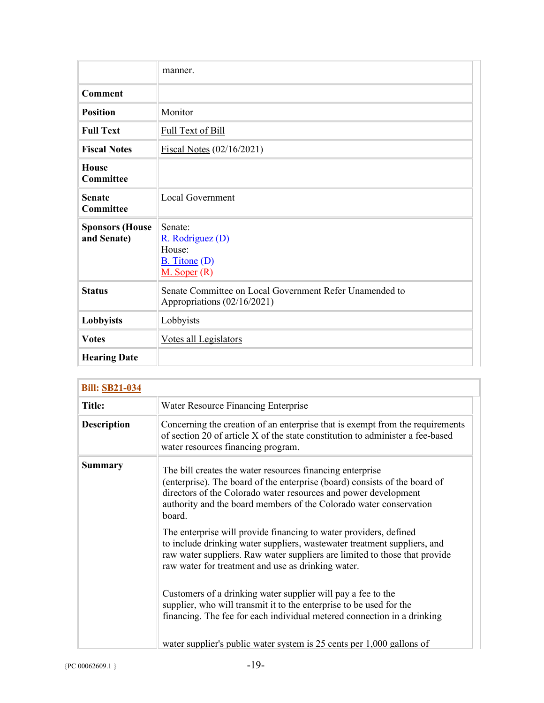|                                       | manner.                                                                                |
|---------------------------------------|----------------------------------------------------------------------------------------|
| <b>Comment</b>                        |                                                                                        |
| <b>Position</b>                       | Monitor                                                                                |
| <b>Full Text</b>                      | Full Text of Bill                                                                      |
| <b>Fiscal Notes</b>                   | Fiscal Notes $(02/16/2021)$                                                            |
| House<br>Committee                    |                                                                                        |
| <b>Senate</b><br><b>Committee</b>     | <b>Local Government</b>                                                                |
| <b>Sponsors (House</b><br>and Senate) | Senate:<br>$R.$ Rodriguez $(D)$<br>House:<br><b>B.</b> Titone (D)<br>$M.$ Soper $(R)$  |
| <b>Status</b>                         | Senate Committee on Local Government Refer Unamended to<br>Appropriations (02/16/2021) |
| Lobbyists                             | Lobbyists                                                                              |
| <b>Votes</b>                          | Votes all Legislators                                                                  |
| <b>Hearing Date</b>                   |                                                                                        |

| <b>Bill: SB21-034</b> |                                                                                                                                                                                                                                                                                            |
|-----------------------|--------------------------------------------------------------------------------------------------------------------------------------------------------------------------------------------------------------------------------------------------------------------------------------------|
| <b>Title:</b>         | Water Resource Financing Enterprise                                                                                                                                                                                                                                                        |
| <b>Description</b>    | Concerning the creation of an enterprise that is exempt from the requirements<br>of section 20 of article X of the state constitution to administer a fee-based<br>water resources financing program.                                                                                      |
| Summary               | The bill creates the water resources financing enterprise<br>(enterprise). The board of the enterprise (board) consists of the board of<br>directors of the Colorado water resources and power development<br>authority and the board members of the Colorado water conservation<br>board. |
|                       | The enterprise will provide financing to water providers, defined<br>to include drinking water suppliers, wastewater treatment suppliers, and<br>raw water suppliers. Raw water suppliers are limited to those that provide<br>raw water for treatment and use as drinking water.          |
|                       | Customers of a drinking water supplier will pay a fee to the<br>supplier, who will transmit it to the enterprise to be used for the<br>financing. The fee for each individual metered connection in a drinking                                                                             |
|                       | water supplier's public water system is 25 cents per 1,000 gallons of                                                                                                                                                                                                                      |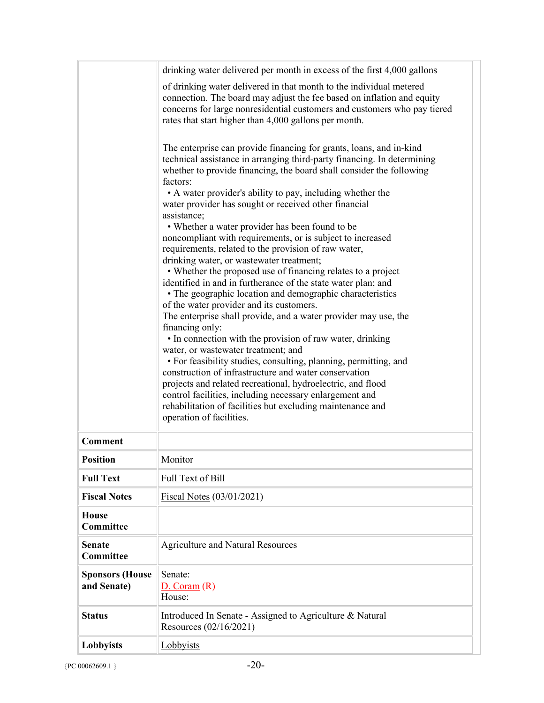|                                       | drinking water delivered per month in excess of the first 4,000 gallons                                                                                                                                                                                                                                                                                                                                                                                                                                                                                                                                                                                                                                                                                                                                                                                                                                                                                                                                                                                                                                                                                                                                                                                                                                                                                                            |
|---------------------------------------|------------------------------------------------------------------------------------------------------------------------------------------------------------------------------------------------------------------------------------------------------------------------------------------------------------------------------------------------------------------------------------------------------------------------------------------------------------------------------------------------------------------------------------------------------------------------------------------------------------------------------------------------------------------------------------------------------------------------------------------------------------------------------------------------------------------------------------------------------------------------------------------------------------------------------------------------------------------------------------------------------------------------------------------------------------------------------------------------------------------------------------------------------------------------------------------------------------------------------------------------------------------------------------------------------------------------------------------------------------------------------------|
|                                       | of drinking water delivered in that month to the individual metered<br>connection. The board may adjust the fee based on inflation and equity<br>concerns for large nonresidential customers and customers who pay tiered<br>rates that start higher than 4,000 gallons per month.                                                                                                                                                                                                                                                                                                                                                                                                                                                                                                                                                                                                                                                                                                                                                                                                                                                                                                                                                                                                                                                                                                 |
|                                       | The enterprise can provide financing for grants, loans, and in-kind<br>technical assistance in arranging third-party financing. In determining<br>whether to provide financing, the board shall consider the following<br>factors:<br>• A water provider's ability to pay, including whether the<br>water provider has sought or received other financial<br>assistance;<br>• Whether a water provider has been found to be<br>noncompliant with requirements, or is subject to increased<br>requirements, related to the provision of raw water,<br>drinking water, or wastewater treatment;<br>• Whether the proposed use of financing relates to a project<br>identified in and in furtherance of the state water plan; and<br>• The geographic location and demographic characteristics<br>of the water provider and its customers.<br>The enterprise shall provide, and a water provider may use, the<br>financing only:<br>• In connection with the provision of raw water, drinking<br>water, or wastewater treatment; and<br>• For feasibility studies, consulting, planning, permitting, and<br>construction of infrastructure and water conservation<br>projects and related recreational, hydroelectric, and flood<br>control facilities, including necessary enlargement and<br>rehabilitation of facilities but excluding maintenance and<br>operation of facilities. |
| <b>Comment</b>                        |                                                                                                                                                                                                                                                                                                                                                                                                                                                                                                                                                                                                                                                                                                                                                                                                                                                                                                                                                                                                                                                                                                                                                                                                                                                                                                                                                                                    |
| <b>Position</b>                       | Monitor                                                                                                                                                                                                                                                                                                                                                                                                                                                                                                                                                                                                                                                                                                                                                                                                                                                                                                                                                                                                                                                                                                                                                                                                                                                                                                                                                                            |
| <b>Full Text</b>                      | Full Text of Bill                                                                                                                                                                                                                                                                                                                                                                                                                                                                                                                                                                                                                                                                                                                                                                                                                                                                                                                                                                                                                                                                                                                                                                                                                                                                                                                                                                  |
| <b>Fiscal Notes</b>                   | Fiscal Notes (03/01/2021)                                                                                                                                                                                                                                                                                                                                                                                                                                                                                                                                                                                                                                                                                                                                                                                                                                                                                                                                                                                                                                                                                                                                                                                                                                                                                                                                                          |
| <b>House</b><br>Committee             |                                                                                                                                                                                                                                                                                                                                                                                                                                                                                                                                                                                                                                                                                                                                                                                                                                                                                                                                                                                                                                                                                                                                                                                                                                                                                                                                                                                    |
| Senate<br><b>Committee</b>            | <b>Agriculture and Natural Resources</b>                                                                                                                                                                                                                                                                                                                                                                                                                                                                                                                                                                                                                                                                                                                                                                                                                                                                                                                                                                                                                                                                                                                                                                                                                                                                                                                                           |
| <b>Sponsors (House</b><br>and Senate) | Senate:<br>D. Coram(R)<br>House:                                                                                                                                                                                                                                                                                                                                                                                                                                                                                                                                                                                                                                                                                                                                                                                                                                                                                                                                                                                                                                                                                                                                                                                                                                                                                                                                                   |
| <b>Status</b>                         | Introduced In Senate - Assigned to Agriculture & Natural<br>Resources (02/16/2021)                                                                                                                                                                                                                                                                                                                                                                                                                                                                                                                                                                                                                                                                                                                                                                                                                                                                                                                                                                                                                                                                                                                                                                                                                                                                                                 |
| Lobbyists                             | Lobbyists                                                                                                                                                                                                                                                                                                                                                                                                                                                                                                                                                                                                                                                                                                                                                                                                                                                                                                                                                                                                                                                                                                                                                                                                                                                                                                                                                                          |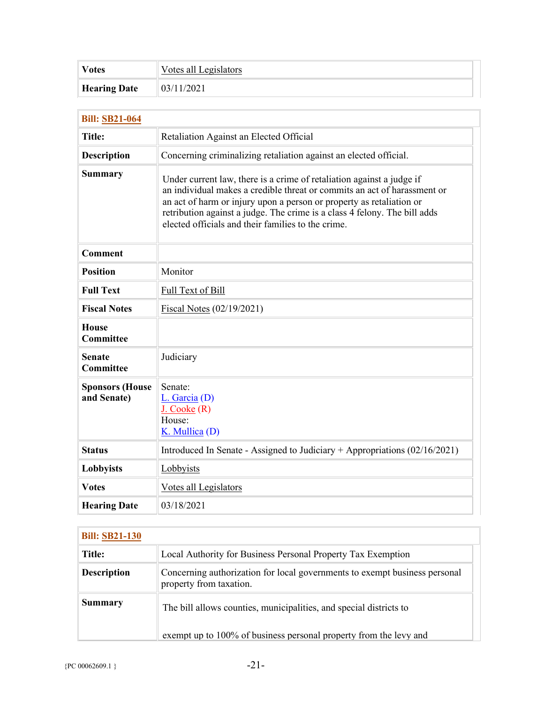| Votes               | Votes all Legislators |  |
|---------------------|-----------------------|--|
| <b>Hearing Date</b> | 03/11/2021            |  |

| <b>Bill: SB21-064</b>                 |                                                                                                                                                                                                                                                                                                                                                              |  |
|---------------------------------------|--------------------------------------------------------------------------------------------------------------------------------------------------------------------------------------------------------------------------------------------------------------------------------------------------------------------------------------------------------------|--|
| <b>Title:</b>                         | Retaliation Against an Elected Official                                                                                                                                                                                                                                                                                                                      |  |
| <b>Description</b>                    | Concerning criminalizing retaliation against an elected official.                                                                                                                                                                                                                                                                                            |  |
| <b>Summary</b>                        | Under current law, there is a crime of retaliation against a judge if<br>an individual makes a credible threat or commits an act of harassment or<br>an act of harm or injury upon a person or property as retaliation or<br>retribution against a judge. The crime is a class 4 felony. The bill adds<br>elected officials and their families to the crime. |  |
| <b>Comment</b>                        |                                                                                                                                                                                                                                                                                                                                                              |  |
| <b>Position</b>                       | Monitor                                                                                                                                                                                                                                                                                                                                                      |  |
| <b>Full Text</b>                      | Full Text of Bill                                                                                                                                                                                                                                                                                                                                            |  |
| <b>Fiscal Notes</b>                   | Fiscal Notes $(02/19/2021)$                                                                                                                                                                                                                                                                                                                                  |  |
| <b>House</b><br><b>Committee</b>      |                                                                                                                                                                                                                                                                                                                                                              |  |
| <b>Senate</b><br><b>Committee</b>     | Judiciary                                                                                                                                                                                                                                                                                                                                                    |  |
| <b>Sponsors (House</b><br>and Senate) | Senate:<br>$L.$ Garcia (D)<br>$J. \text{Cooke} (R)$<br>House:<br>$K.$ Mullica (D)                                                                                                                                                                                                                                                                            |  |
| <b>Status</b>                         | Introduced In Senate - Assigned to Judiciary + Appropriations $(02/16/2021)$                                                                                                                                                                                                                                                                                 |  |
| Lobbyists                             | Lobbyists                                                                                                                                                                                                                                                                                                                                                    |  |
| <b>Votes</b>                          | Votes all Legislators                                                                                                                                                                                                                                                                                                                                        |  |
| <b>Hearing Date</b>                   | 03/18/2021                                                                                                                                                                                                                                                                                                                                                   |  |

| <b>Bill: SB21-130</b> |                                                                                                       |
|-----------------------|-------------------------------------------------------------------------------------------------------|
| <b>Title:</b>         | Local Authority for Business Personal Property Tax Exemption                                          |
| <b>Description</b>    | Concerning authorization for local governments to exempt business personal<br>property from taxation. |
| <b>Summary</b>        | The bill allows counties, municipalities, and special districts to                                    |
|                       | exempt up to 100% of business personal property from the levy and                                     |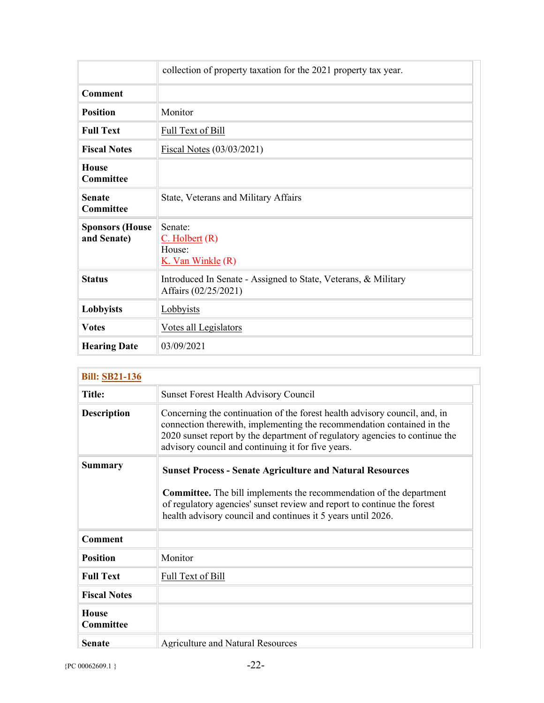|                                       | collection of property taxation for the 2021 property tax year.                        |
|---------------------------------------|----------------------------------------------------------------------------------------|
| <b>Comment</b>                        |                                                                                        |
| <b>Position</b>                       | Monitor                                                                                |
| <b>Full Text</b>                      | <b>Full Text of Bill</b>                                                               |
| <b>Fiscal Notes</b>                   | Fiscal Notes (03/03/2021)                                                              |
| House<br>Committee                    |                                                                                        |
| Senate<br><b>Committee</b>            | State, Veterans and Military Affairs                                                   |
| <b>Sponsors (House</b><br>and Senate) | Senate:<br>$C.$ Holbert $(R)$<br>House:<br>K. Van Winkle (R)                           |
| <b>Status</b>                         | Introduced In Senate - Assigned to State, Veterans, & Military<br>Affairs (02/25/2021) |
| Lobbyists                             | Lobbyists                                                                              |
| <b>Votes</b>                          | Votes all Legislators                                                                  |
| <b>Hearing Date</b>                   | 03/09/2021                                                                             |

| <b>Bill: SB21-136</b>     |                                                                                                                                                                                                                                                                                           |
|---------------------------|-------------------------------------------------------------------------------------------------------------------------------------------------------------------------------------------------------------------------------------------------------------------------------------------|
| <b>Title:</b>             | Sunset Forest Health Advisory Council                                                                                                                                                                                                                                                     |
| <b>Description</b>        | Concerning the continuation of the forest health advisory council, and, in<br>connection therewith, implementing the recommendation contained in the<br>2020 sunset report by the department of regulatory agencies to continue the<br>advisory council and continuing it for five years. |
| Summary                   | <b>Sunset Process - Senate Agriculture and Natural Resources</b><br><b>Committee.</b> The bill implements the recommendation of the department<br>of regulatory agencies' sunset review and report to continue the forest<br>health advisory council and continues it 5 years until 2026. |
| <b>Comment</b>            |                                                                                                                                                                                                                                                                                           |
| <b>Position</b>           | Monitor                                                                                                                                                                                                                                                                                   |
| <b>Full Text</b>          | Full Text of Bill                                                                                                                                                                                                                                                                         |
| <b>Fiscal Notes</b>       |                                                                                                                                                                                                                                                                                           |
| <b>House</b><br>Committee |                                                                                                                                                                                                                                                                                           |
| Senate                    | <b>Agriculture and Natural Resources</b>                                                                                                                                                                                                                                                  |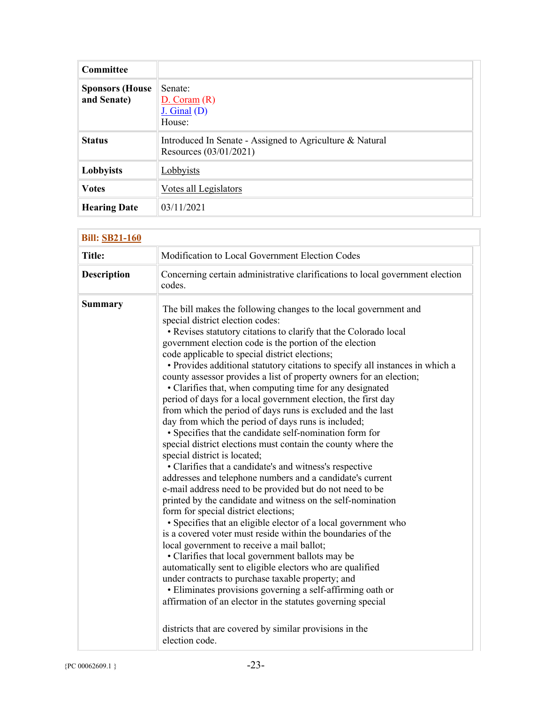| Committee                             |                                                                                    |
|---------------------------------------|------------------------------------------------------------------------------------|
| <b>Sponsors (House</b><br>and Senate) | Senate:<br>D. Coram(R)<br>$J.$ Ginal $(D)$<br>House:                               |
| <b>Status</b>                         | Introduced In Senate - Assigned to Agriculture & Natural<br>Resources (03/01/2021) |
| Lobbyists                             | Lobbyists                                                                          |
| <b>Votes</b>                          | Votes all Legislators                                                              |
| <b>Hearing Date</b>                   | 03/11/2021                                                                         |

| <b>Bill: SB21-160</b> |                                                                                                                                                                                                                                                                                                                                                                                                                                                                                                                                                                                                                                                                                                                                                                                                                                                                                                                                                                                                                                                                                                                                                                                                                                                                                                                                                                                                                                                                                                                                                                                                                                                                                                                       |
|-----------------------|-----------------------------------------------------------------------------------------------------------------------------------------------------------------------------------------------------------------------------------------------------------------------------------------------------------------------------------------------------------------------------------------------------------------------------------------------------------------------------------------------------------------------------------------------------------------------------------------------------------------------------------------------------------------------------------------------------------------------------------------------------------------------------------------------------------------------------------------------------------------------------------------------------------------------------------------------------------------------------------------------------------------------------------------------------------------------------------------------------------------------------------------------------------------------------------------------------------------------------------------------------------------------------------------------------------------------------------------------------------------------------------------------------------------------------------------------------------------------------------------------------------------------------------------------------------------------------------------------------------------------------------------------------------------------------------------------------------------------|
| <b>Title:</b>         | Modification to Local Government Election Codes                                                                                                                                                                                                                                                                                                                                                                                                                                                                                                                                                                                                                                                                                                                                                                                                                                                                                                                                                                                                                                                                                                                                                                                                                                                                                                                                                                                                                                                                                                                                                                                                                                                                       |
| <b>Description</b>    | Concerning certain administrative clarifications to local government election<br>codes.                                                                                                                                                                                                                                                                                                                                                                                                                                                                                                                                                                                                                                                                                                                                                                                                                                                                                                                                                                                                                                                                                                                                                                                                                                                                                                                                                                                                                                                                                                                                                                                                                               |
| <b>Summary</b>        | The bill makes the following changes to the local government and<br>special district election codes:<br>• Revises statutory citations to clarify that the Colorado local<br>government election code is the portion of the election<br>code applicable to special district elections;<br>• Provides additional statutory citations to specify all instances in which a<br>county assessor provides a list of property owners for an election;<br>• Clarifies that, when computing time for any designated<br>period of days for a local government election, the first day<br>from which the period of days runs is excluded and the last<br>day from which the period of days runs is included;<br>• Specifies that the candidate self-nomination form for<br>special district elections must contain the county where the<br>special district is located;<br>• Clarifies that a candidate's and witness's respective<br>addresses and telephone numbers and a candidate's current<br>e-mail address need to be provided but do not need to be<br>printed by the candidate and witness on the self-nomination<br>form for special district elections;<br>• Specifies that an eligible elector of a local government who<br>is a covered voter must reside within the boundaries of the<br>local government to receive a mail ballot;<br>• Clarifies that local government ballots may be<br>automatically sent to eligible electors who are qualified<br>under contracts to purchase taxable property; and<br>• Eliminates provisions governing a self-affirming oath or<br>affirmation of an elector in the statutes governing special<br>districts that are covered by similar provisions in the<br>election code. |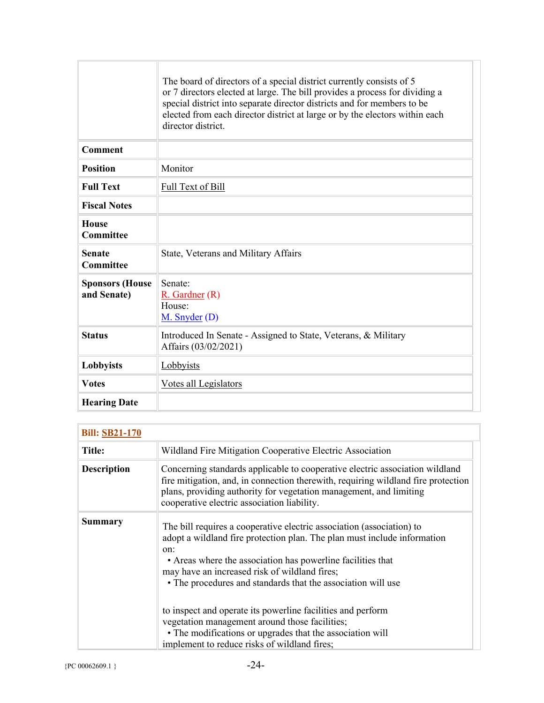|                                       | The board of directors of a special district currently consists of 5<br>or 7 directors elected at large. The bill provides a process for dividing a<br>special district into separate director districts and for members to be<br>elected from each director district at large or by the electors within each<br>director district. |
|---------------------------------------|-------------------------------------------------------------------------------------------------------------------------------------------------------------------------------------------------------------------------------------------------------------------------------------------------------------------------------------|
| <b>Comment</b>                        |                                                                                                                                                                                                                                                                                                                                     |
| <b>Position</b>                       | Monitor                                                                                                                                                                                                                                                                                                                             |
| <b>Full Text</b>                      | Full Text of Bill                                                                                                                                                                                                                                                                                                                   |
| <b>Fiscal Notes</b>                   |                                                                                                                                                                                                                                                                                                                                     |
| <b>House</b><br><b>Committee</b>      |                                                                                                                                                                                                                                                                                                                                     |
| <b>Senate</b><br><b>Committee</b>     | State, Veterans and Military Affairs                                                                                                                                                                                                                                                                                                |
| <b>Sponsors (House</b><br>and Senate) | Senate:<br>$R.$ Gardner $(R)$<br>House:<br>$M.$ Snyder (D)                                                                                                                                                                                                                                                                          |
| <b>Status</b>                         | Introduced In Senate - Assigned to State, Veterans, & Military<br>Affairs (03/02/2021)                                                                                                                                                                                                                                              |
| Lobbyists                             | Lobbyists                                                                                                                                                                                                                                                                                                                           |
| <b>Votes</b>                          | Votes all Legislators                                                                                                                                                                                                                                                                                                               |
| <b>Hearing Date</b>                   |                                                                                                                                                                                                                                                                                                                                     |

| <b>Bill: SB21-170</b> |                                                                                                                                                                                                                                                                                                                                          |
|-----------------------|------------------------------------------------------------------------------------------------------------------------------------------------------------------------------------------------------------------------------------------------------------------------------------------------------------------------------------------|
| <b>Title:</b>         | Wildland Fire Mitigation Cooperative Electric Association                                                                                                                                                                                                                                                                                |
| <b>Description</b>    | Concerning standards applicable to cooperative electric association wildland<br>fire mitigation, and, in connection therewith, requiring wildland fire protection<br>plans, providing authority for vegetation management, and limiting<br>cooperative electric association liability.                                                   |
| <b>Summary</b>        | The bill requires a cooperative electric association (association) to<br>adopt a wildland fire protection plan. The plan must include information<br>on:<br>• Areas where the association has powerline facilities that<br>may have an increased risk of wildland fires;<br>• The procedures and standards that the association will use |
|                       | to inspect and operate its powerline facilities and perform<br>vegetation management around those facilities;<br>• The modifications or upgrades that the association will<br>implement to reduce risks of wildland fires;                                                                                                               |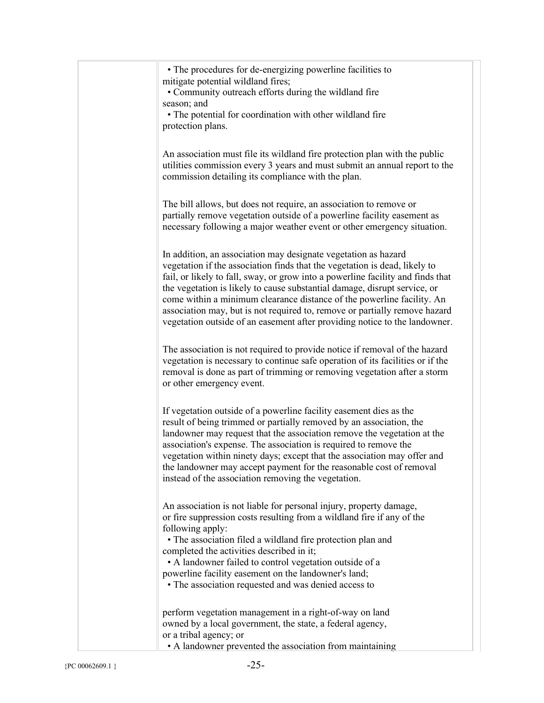| • The procedures for de-energizing powerline facilities to<br>mitigate potential wildland fires;                                                                                                               |
|----------------------------------------------------------------------------------------------------------------------------------------------------------------------------------------------------------------|
| • Community outreach efforts during the wildland fire                                                                                                                                                          |
| season; and<br>• The potential for coordination with other wildland fire                                                                                                                                       |
| protection plans.                                                                                                                                                                                              |
|                                                                                                                                                                                                                |
| An association must file its wildland fire protection plan with the public<br>utilities commission every 3 years and must submit an annual report to the<br>commission detailing its compliance with the plan. |
| The bill allows, but does not require, an association to remove or                                                                                                                                             |
| partially remove vegetation outside of a powerline facility easement as                                                                                                                                        |
| necessary following a major weather event or other emergency situation.                                                                                                                                        |
| In addition, an association may designate vegetation as hazard                                                                                                                                                 |
| vegetation if the association finds that the vegetation is dead, likely to<br>fail, or likely to fall, sway, or grow into a powerline facility and finds that                                                  |
| the vegetation is likely to cause substantial damage, disrupt service, or                                                                                                                                      |
| come within a minimum clearance distance of the powerline facility. An                                                                                                                                         |
| association may, but is not required to, remove or partially remove hazard<br>vegetation outside of an easement after providing notice to the landowner.                                                       |
|                                                                                                                                                                                                                |
| The association is not required to provide notice if removal of the hazard<br>vegetation is necessary to continue safe operation of its facilities or if the                                                   |
| removal is done as part of trimming or removing vegetation after a storm<br>or other emergency event.                                                                                                          |
| If vegetation outside of a powerline facility easement dies as the                                                                                                                                             |
| result of being trimmed or partially removed by an association, the                                                                                                                                            |
| landowner may request that the association remove the vegetation at the<br>association's expense. The association is required to remove the                                                                    |
| vegetation within ninety days; except that the association may offer and                                                                                                                                       |
| the landowner may accept payment for the reasonable cost of removal<br>instead of the association removing the vegetation.                                                                                     |
|                                                                                                                                                                                                                |
| An association is not liable for personal injury, property damage,                                                                                                                                             |
| or fire suppression costs resulting from a wildland fire if any of the<br>following apply:                                                                                                                     |
| • The association filed a wildland fire protection plan and                                                                                                                                                    |
| completed the activities described in it;<br>• A landowner failed to control vegetation outside of a                                                                                                           |
| powerline facility easement on the landowner's land;                                                                                                                                                           |
| • The association requested and was denied access to                                                                                                                                                           |
| perform vegetation management in a right-of-way on land                                                                                                                                                        |
| owned by a local government, the state, a federal agency,<br>or a tribal agency; or                                                                                                                            |
| • A landowner prevented the association from maintaining                                                                                                                                                       |